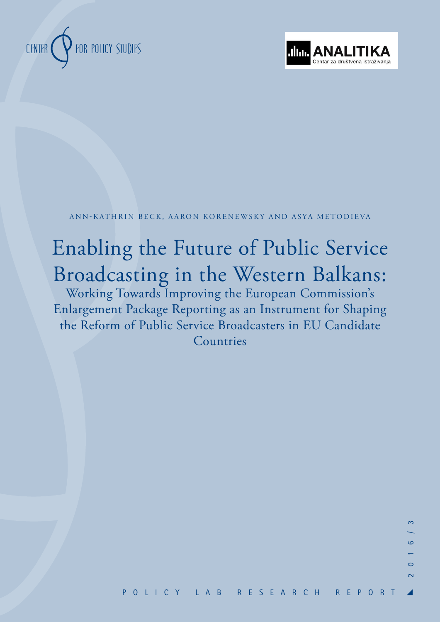



ANN-KATHRIN BECK, AARON KORENEWSKY AND ASYA METODIEVA

# Enabling the Future of Public Service Broadcasting in the Western Balkans:

Working Towards Improving the European Commission's Enlargement Package Reporting as an Instrument for Shaping the Reform of Public Service Broadcasters in EU Candidate Countries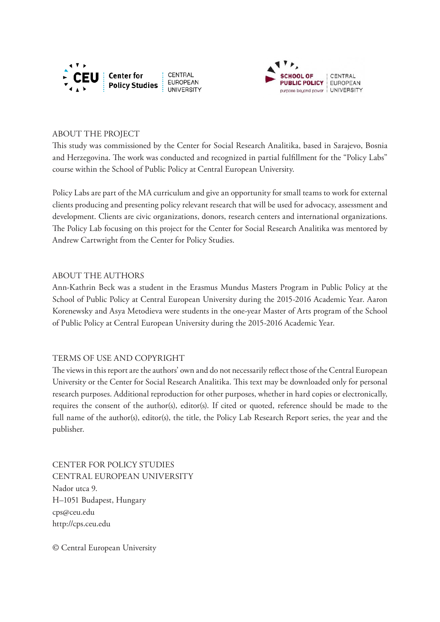



#### ABOUT THE PROJECT

This study was commissioned by the Center for Social Research Analitika, based in Sarajevo, Bosnia and Herzegovina. The work was conducted and recognized in partial fulfillment for the "Policy Labs" course within the School of Public Policy at Central European University.

Policy Labs are part of the MA curriculum and give an opportunity for small teams to work for external clients producing and presenting policy relevant research that will be used for advocacy, assessment and development. Clients are civic organizations, donors, research centers and international organizations. The Policy Lab focusing on this project for the Center for Social Research Analitika was mentored by Andrew Cartwright from the Center for Policy Studies.

#### ABOUT THE AUTHORS

Ann-Kathrin Beck was a student in the Erasmus Mundus Masters Program in Public Policy at the School of Public Policy at Central European University during the 2015-2016 Academic Year. Aaron Korenewsky and Asya Metodieva were students in the one-year Master of Arts program of the School of Public Policy at Central European University during the 2015-2016 Academic Year.

#### TERMS OF USE AND COPYRIGHT

The views in this report are the authors' own and do not necessarily reflect those of the Central European University or the Center for Social Research Analitika. This text may be downloaded only for personal research purposes. Additional reproduction for other purposes, whether in hard copies or electronically, requires the consent of the author(s), editor(s). If cited or quoted, reference should be made to the full name of the author(s), editor(s), the title, the Policy Lab Research Report series, the year and the publisher.

CENTER FOR POLICY STUDIES CENTRAL EUROPEAN UNIVERSITY Nador utca 9. H–1051 Budapest, Hungary cps@ceu.edu http://cps.ceu.edu

© Central European University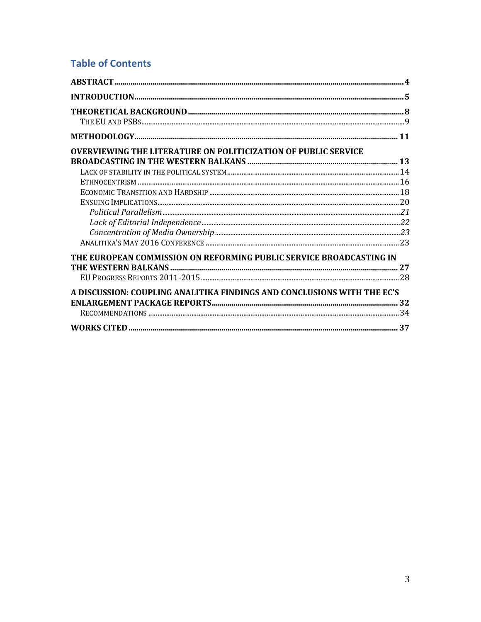# **Table of Contents**

| <b>OVERVIEWING THE LITERATURE ON POLITICIZATION OF PUBLIC SERVICE</b>   |  |
|-------------------------------------------------------------------------|--|
|                                                                         |  |
|                                                                         |  |
|                                                                         |  |
|                                                                         |  |
|                                                                         |  |
|                                                                         |  |
|                                                                         |  |
|                                                                         |  |
|                                                                         |  |
| THE EUROPEAN COMMISSION ON REFORMING PUBLIC SERVICE BROADCASTING IN     |  |
|                                                                         |  |
|                                                                         |  |
| A DISCUSSION: COUPLING ANALITIKA FINDINGS AND CONCLUSIONS WITH THE EC'S |  |
|                                                                         |  |
|                                                                         |  |
|                                                                         |  |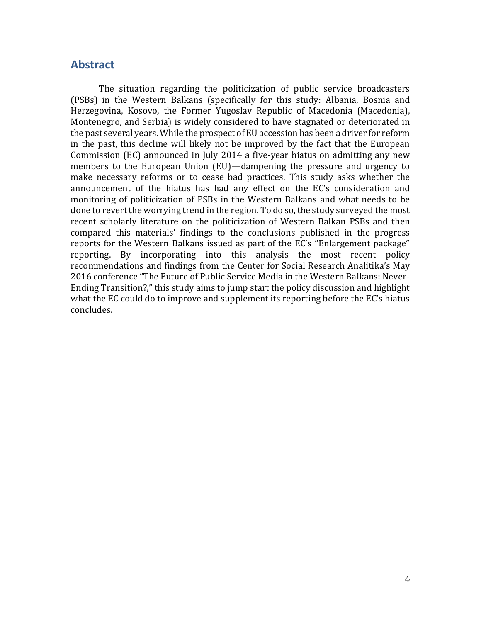### **Abstract**

The situation regarding the politicization of public service broadcasters (PSBs) in the Western Balkans (specifically for this study: Albania, Bosnia and Herzegovina, Kosovo, the Former Yugoslav Republic of Macedonia (Macedonia), Montenegro, and Serbia) is widely considered to have stagnated or deteriorated in the past several years. While the prospect of EU accession has been a driver for reform in the past, this decline will likely not be improved by the fact that the European Commission (EC) announced in July 2014 a five-year hiatus on admitting any new members to the European Union (EU)—dampening the pressure and urgency to make necessary reforms or to cease bad practices. This study asks whether the announcement of the hiatus has had any effect on the EC's consideration and monitoring of politicization of PSBs in the Western Balkans and what needs to be done to revert the worrying trend in the region. To do so, the study surveyed the most recent scholarly literature on the politicization of Western Balkan PSBs and then compared this materials' findings to the conclusions published in the progress reports for the Western Balkans issued as part of the EC's "Enlargement package" reporting. By incorporating into this analysis the most recent policy recommendations and findings from the Center for Social Research Analitika's May 2016 conference "The Future of Public Service Media in the Western Balkans: Never-Ending Transition?," this study aims to jump start the policy discussion and highlight what the EC could do to improve and supplement its reporting before the EC's hiatus concludes.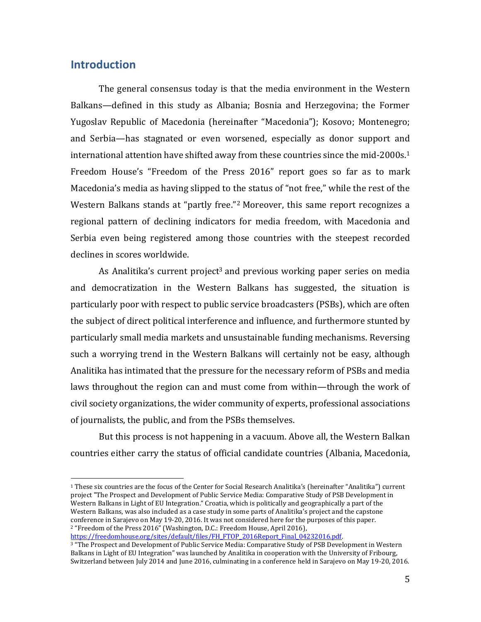## **Introduction**

 $\overline{a}$ 

The general consensus today is that the media environment in the Western Balkans—defined in this study as Albania; Bosnia and Herzegovina; the Former Yugoslav Republic of Macedonia (hereinafter "Macedonia"); Kosovo; Montenegro; and Serbia—has stagnated or even worsened, especially as donor support and international attention have shifted away from these countries since the mid-2000s. 1 Freedom House's "Freedom of the Press 2016" report goes so far as to mark Macedonia's media as having slipped to the status of "not free," while the rest of the Western Balkans stands at "partly free."<sup>2</sup> Moreover, this same report recognizes a regional pattern of declining indicators for media freedom, with Macedonia and Serbia even being registered among those countries with the steepest recorded declines in scores worldwide.

As Analitika's current project<sup>3</sup> and previous working paper series on media and democratization in the Western Balkans has suggested, the situation is particularly poor with respect to public service broadcasters (PSBs), which are often the subject of direct political interference and influence, and furthermore stunted by particularly small media markets and unsustainable funding mechanisms. Reversing such a worrying trend in the Western Balkans will certainly not be easy, although Analitika has intimated that the pressure for the necessary reform of PSBs and media laws throughout the region can and must come from within—through the work of civil society organizations, the wider community of experts, professional associations of journalists, the public, and from the PSBs themselves.

But this process is not happening in a vacuum. Above all, the Western Balkan countries either carry the status of official candidate countries (Albania, Macedonia,

<sup>1</sup> These six countries are the focus of the Center for Social Research Analitika's (hereinafter "Analitika") current project "The Prospect and Development of Public Service Media: Comparative Study of PSB Development in Western Balkans in Light of EU Integration." Croatia, which is politically and geographically a part of the Western Balkans, was also included as a case study in some parts of Analitika's project and the capstone conference in Sarajevo on May 19-20, 2016. It was not considered here for the purposes of this paper. <sup>2</sup> "Freedom of the Press 2016" (Washington, D.C.: Freedom House, April 2016), [https://freedomhouse.org/sites/default/files/FH\\_FTOP\\_2016Report\\_Final\\_04232016.pdf.](https://freedomhouse.org/sites/default/files/FH_FTOP_2016Report_Final_04232016.pdf)

<sup>3</sup> "The Prospect and Development of Public Service Media: Comparative Study of PSB Development in Western Balkans in Light of EU Integration" was launched by Analitika in cooperation with the University of Fribourg, Switzerland between July 2014 and June 2016, culminating in a conference held in Sarajevo on May 19-20, 2016.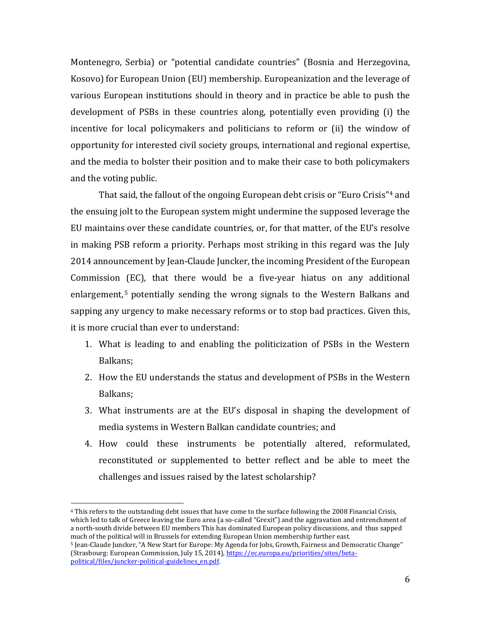Montenegro, Serbia) or "potential candidate countries" (Bosnia and Herzegovina, Kosovo) for European Union (EU) membership. Europeanization and the leverage of various European institutions should in theory and in practice be able to push the development of PSBs in these countries along, potentially even providing (i) the incentive for local policymakers and politicians to reform or (ii) the window of opportunity for interested civil society groups, international and regional expertise, and the media to bolster their position and to make their case to both policymakers and the voting public.

That said, the fallout of the ongoing European debt crisis or "Euro Crisis"<sup>4</sup> and the ensuing jolt to the European system might undermine the supposed leverage the EU maintains over these candidate countries, or, for that matter, of the EU's resolve in making PSB reform a priority. Perhaps most striking in this regard was the July 2014 announcement by Jean-Claude Juncker, the incoming President of the European Commission (EC), that there would be a five-year hiatus on any additional enlargement, <sup>5</sup> potentially sending the wrong signals to the Western Balkans and sapping any urgency to make necessary reforms or to stop bad practices. Given this, it is more crucial than ever to understand:

- 1. What is leading to and enabling the politicization of PSBs in the Western Balkans;
- 2. How the EU understands the status and development of PSBs in the Western Balkans;
- 3. What instruments are at the EU's disposal in shaping the development of media systems in Western Balkan candidate countries; and
- 4. How could these instruments be potentially altered, reformulated, reconstituted or supplemented to better reflect and be able to meet the challenges and issues raised by the latest scholarship?

<sup>4</sup> This refers to the outstanding debt issues that have come to the surface following the 2008 Financial Crisis, which led to talk of Greece leaving the Euro area (a so-called "Grexit") and the aggravation and entrenchment of a north-south divide between EU members This has dominated European policy discussions, and thus sapped much of the political will in Brussels for extending European Union membership further east.

<sup>5</sup> Jean-Claude Juncker, "A New Start for Europe: My Agenda for Jobs, Growth, Fairness and Democratic Change" (Strasbourg: European Commission, July 15, 2014)[, https://ec.europa.eu/priorities/sites/beta](https://ec.europa.eu/priorities/sites/beta-political/files/juncker-political-guidelines_en.pdf)[political/files/juncker-political-guidelines\\_en.pdf.](https://ec.europa.eu/priorities/sites/beta-political/files/juncker-political-guidelines_en.pdf)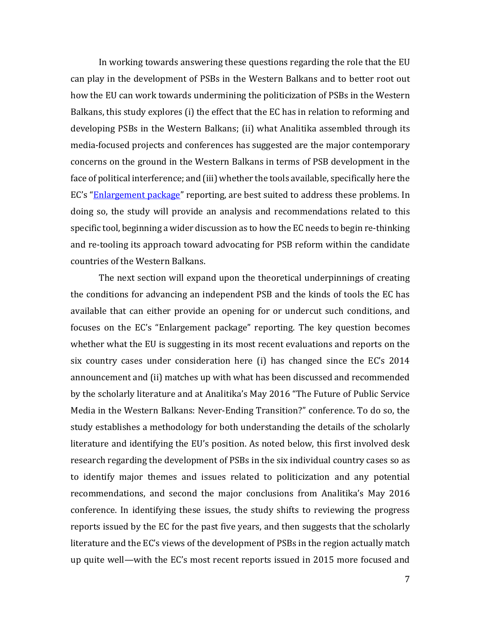In working towards answering these questions regarding the role that the EU can play in the development of PSBs in the Western Balkans and to better root out how the EU can work towards undermining the politicization of PSBs in the Western Balkans, this study explores (i) the effect that the EC has in relation to reforming and developing PSBs in the Western Balkans; (ii) what Analitika assembled through its media-focused projects and conferences has suggested are the major contemporary concerns on the ground in the Western Balkans in terms of PSB development in the face of political interference; and (iii) whether the tools available, specifically here the EC's "[Enlargement package](http://ec.europa.eu/enlargement/countries/package/index_en.htm)" reporting, are best suited to address these problems. In doing so, the study will provide an analysis and recommendations related to this specific tool, beginning a wider discussion as to how the EC needs to begin re-thinking and re-tooling its approach toward advocating for PSB reform within the candidate countries of the Western Balkans.

The next section will expand upon the theoretical underpinnings of creating the conditions for advancing an independent PSB and the kinds of tools the EC has available that can either provide an opening for or undercut such conditions, and focuses on the EC's "Enlargement package" reporting. The key question becomes whether what the EU is suggesting in its most recent evaluations and reports on the six country cases under consideration here (i) has changed since the EC's 2014 announcement and (ii) matches up with what has been discussed and recommended by the scholarly literature and at Analitika's May 2016 "The Future of Public Service Media in the Western Balkans: Never-Ending Transition?" conference. To do so, the study establishes a methodology for both understanding the details of the scholarly literature and identifying the EU's position. As noted below, this first involved desk research regarding the development of PSBs in the six individual country cases so as to identify major themes and issues related to politicization and any potential recommendations, and second the major conclusions from Analitika's May 2016 conference. In identifying these issues, the study shifts to reviewing the progress reports issued by the EC for the past five years, and then suggests that the scholarly literature and the EC's views of the development of PSBs in the region actually match up quite well—with the EC's most recent reports issued in 2015 more focused and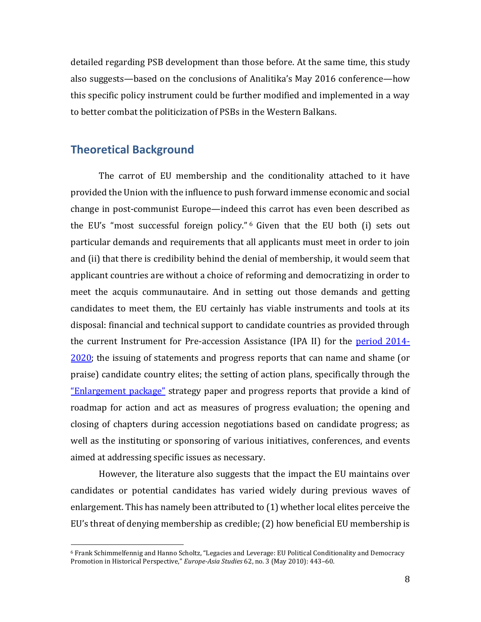detailed regarding PSB development than those before. At the same time, this study also suggests—based on the conclusions of Analitika's May 2016 conference—how this specific policy instrument could be further modified and implemented in a way to better combat the politicization of PSBs in the Western Balkans.

## **Theoretical Background**

l

The carrot of EU membership and the conditionality attached to it have provided the Union with the influence to push forward immense economic and social change in post-communist Europe—indeed this carrot has even been described as the EU's "most successful foreign policy." <sup>6</sup> Given that the EU both (i) sets out particular demands and requirements that all applicants must meet in order to join and (ii) that there is credibility behind the denial of membership, it would seem that applicant countries are without a choice of reforming and democratizing in order to meet the acquis communautaire. And in setting out those demands and getting candidates to meet them, the EU certainly has viable instruments and tools at its disposal: financial and technical support to candidate countries as provided through the current Instrument for Pre-accession Assistance (IPA II) for the [period 2014-](http://ec.europa.eu/enlargement/instruments/overview/index_en.htm) [2020;](http://ec.europa.eu/enlargement/instruments/overview/index_en.htm) the issuing of statements and progress reports that can name and shame (or praise) candidate country elites; the setting of action plans, specifically through the ["Enlargement package"](http://ec.europa.eu/enlargement/countries/package/index_en.htm) strategy paper and progress reports that provide a kind of roadmap for action and act as measures of progress evaluation; the opening and closing of chapters during accession negotiations based on candidate progress; as well as the instituting or sponsoring of various initiatives, conferences, and events aimed at addressing specific issues as necessary.

However, the literature also suggests that the impact the EU maintains over candidates or potential candidates has varied widely during previous waves of enlargement. This has namely been attributed to (1) whether local elites perceive the EU's threat of denying membership as credible; (2) how beneficial EU membership is

<sup>6</sup> Frank Schimmelfennig and Hanno Scholtz, "Legacies and Leverage: EU Political Conditionality and Democracy Promotion in Historical Perspective," *Europe-Asia Studies* 62, no. 3 (May 2010): 443–60.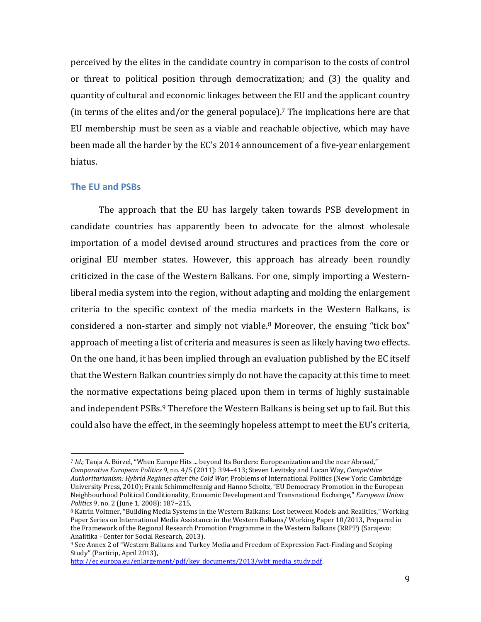perceived by the elites in the candidate country in comparison to the costs of control or threat to political position through democratization; and (3) the quality and quantity of cultural and economic linkages between the EU and the applicant country (in terms of the elites and/or the general populace).<sup>7</sup> The implications here are that EU membership must be seen as a viable and reachable objective, which may have been made all the harder by the EC's 2014 announcement of a five-year enlargement hiatus.

#### **The EU and PSBs**

 $\overline{a}$ 

The approach that the EU has largely taken towards PSB development in candidate countries has apparently been to advocate for the almost wholesale importation of a model devised around structures and practices from the core or original EU member states. However, this approach has already been roundly criticized in the case of the Western Balkans. For one, simply importing a Westernliberal media system into the region, without adapting and molding the enlargement criteria to the specific context of the media markets in the Western Balkans, is considered a non-starter and simply not viable. $8$  Moreover, the ensuing "tick box" approach of meeting a list of criteria and measures is seen as likely having two effects. On the one hand, it has been implied through an evaluation published by the EC itself that the Western Balkan countries simply do not have the capacity at this time to meet the normative expectations being placed upon them in terms of highly sustainable and independent PSBs. <sup>9</sup> Therefore the Western Balkans is being set up to fail. But this could also have the effect, in the seemingly hopeless attempt to meet the EU's criteria,

<sup>7</sup> *Id*.; Tanja A. Börzel, "When Europe Hits ... beyond Its Borders: Europeanization and the near Abroad," *Comparative European Politics* 9, no. 4/5 (2011): 394–413; Steven Levitsky and Lucan Way, *Competitive Authoritarianism: Hybrid Regimes after the Cold War*, Problems of International Politics (New York: Cambridge University Press, 2010); Frank Schimmelfennig and Hanno Scholtz, "EU Democracy Promotion in the European Neighbourhood Political Conditionality, Economic Development and Transnational Exchange," *European Union Politics* 9, no. 2 (June 1, 2008): 187–215,

<sup>8</sup> Katrin Voltmer, "Building Media Systems in the Western Balkans: Lost between Models and Realities," Working Paper Series on International Media Assistance in the Western Balkans/ Working Paper 10/2013, Prepared in the Framework of the Regional Research Promotion Programme in the Western Balkans (RRPP) (Sarajevo: Analitika - Center for Social Research, 2013).

<sup>9</sup> See Annex 2 of "Western Balkans and Turkey Media and Freedom of Expression Fact-Finding and Scoping Study" (Particip, April 2013),

[http://ec.europa.eu/enlargement/pdf/key\\_documents/2013/wbt\\_media\\_study.pdf.](http://ec.europa.eu/enlargement/pdf/key_documents/2013/wbt_media_study.pdf)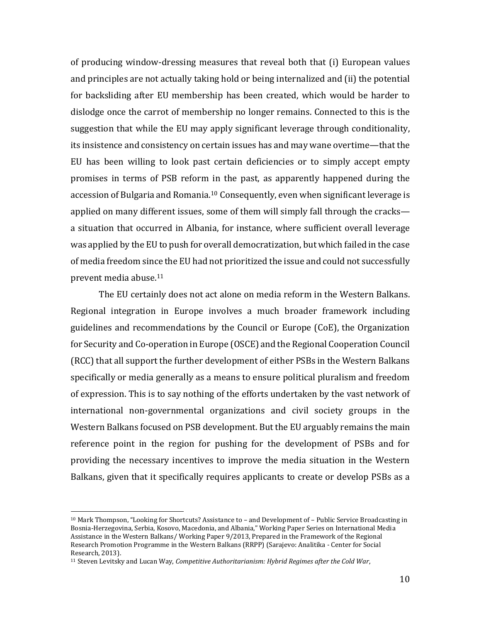of producing window-dressing measures that reveal both that (i) European values and principles are not actually taking hold or being internalized and (ii) the potential for backsliding after EU membership has been created, which would be harder to dislodge once the carrot of membership no longer remains. Connected to this is the suggestion that while the EU may apply significant leverage through conditionality, its insistence and consistency on certain issues has and may wane overtime—that the EU has been willing to look past certain deficiencies or to simply accept empty promises in terms of PSB reform in the past, as apparently happened during the accession of Bulgaria and Romania. <sup>10</sup> Consequently, even when significant leverage is applied on many different issues, some of them will simply fall through the cracks a situation that occurred in Albania, for instance, where sufficient overall leverage was applied by the EU to push for overall democratization, but which failed in the case of media freedom since the EU had not prioritized the issue and could not successfully prevent media abuse. 11

The EU certainly does not act alone on media reform in the Western Balkans. Regional integration in Europe involves a much broader framework including guidelines and recommendations by the Council or Europe (CoE), the Organization for Security and Co-operation in Europe (OSCE) and the Regional Cooperation Council (RCC) that all support the further development of either PSBs in the Western Balkans specifically or media generally as a means to ensure political pluralism and freedom of expression. This is to say nothing of the efforts undertaken by the vast network of international non-governmental organizations and civil society groups in the Western Balkans focused on PSB development. But the EU arguably remains the main reference point in the region for pushing for the development of PSBs and for providing the necessary incentives to improve the media situation in the Western Balkans, given that it specifically requires applicants to create or develop PSBs as a

<sup>10</sup> Mark Thompson, "Looking for Shortcuts? Assistance to – and Development of – Public Service Broadcasting in Bosnia-Herzegovina, Serbia, Kosovo, Macedonia, and Albania," Working Paper Series on International Media Assistance in the Western Balkans/ Working Paper 9/2013, Prepared in the Framework of the Regional Research Promotion Programme in the Western Balkans (RRPP) (Sarajevo: Analitika - Center for Social Research, 2013).

<sup>11</sup> Steven Levitsky and Lucan Way, *Competitive Authoritarianism: Hybrid Regimes after the Cold War*,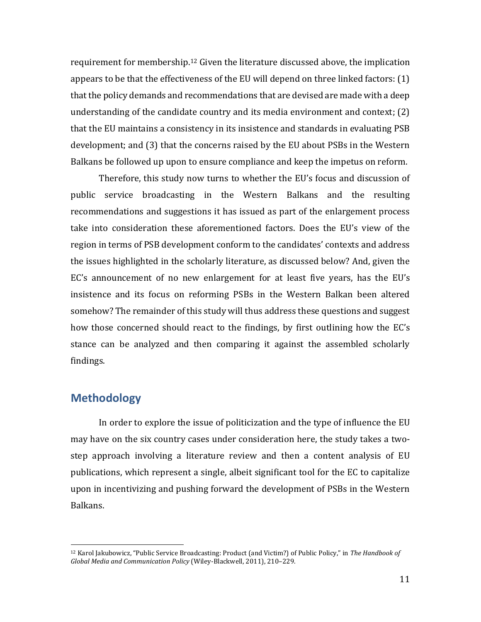requirement for membership. <sup>12</sup> Given the literature discussed above, the implication appears to be that the effectiveness of the EU will depend on three linked factors: (1) that the policy demands and recommendations that are devised are made with a deep understanding of the candidate country and its media environment and context; (2) that the EU maintains a consistency in its insistence and standards in evaluating PSB development; and (3) that the concerns raised by the EU about PSBs in the Western Balkans be followed up upon to ensure compliance and keep the impetus on reform.

Therefore, this study now turns to whether the EU's focus and discussion of public service broadcasting in the Western Balkans and the resulting recommendations and suggestions it has issued as part of the enlargement process take into consideration these aforementioned factors. Does the EU's view of the region in terms of PSB development conform to the candidates' contexts and address the issues highlighted in the scholarly literature, as discussed below? And, given the EC's announcement of no new enlargement for at least five years, has the EU's insistence and its focus on reforming PSBs in the Western Balkan been altered somehow? The remainder of this study will thus address these questions and suggest how those concerned should react to the findings, by first outlining how the EC's stance can be analyzed and then comparing it against the assembled scholarly findings.

## **Methodology**

l

In order to explore the issue of politicization and the type of influence the EU may have on the six country cases under consideration here, the study takes a twostep approach involving a literature review and then a content analysis of EU publications, which represent a single, albeit significant tool for the EC to capitalize upon in incentivizing and pushing forward the development of PSBs in the Western Balkans.

<sup>12</sup> Karol Jakubowicz, "Public Service Broadcasting: Product (and Victim?) of Public Policy," in *The Handbook of Global Media and Communication Policy* (Wiley-Blackwell, 2011), 210–229.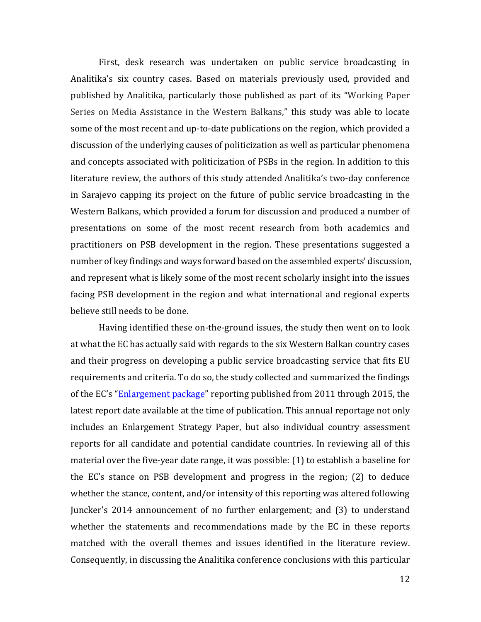First, desk research was undertaken on public service broadcasting in Analitika's six country cases. Based on materials previously used, provided and published by Analitika, particularly those published as part of its "Working Paper Series on Media Assistance in the Western Balkans," this study was able to locate some of the most recent and up-to-date publications on the region, which provided a discussion of the underlying causes of politicization as well as particular phenomena and concepts associated with politicization of PSBs in the region. In addition to this literature review, the authors of this study attended Analitika's two-day conference in Sarajevo capping its project on the future of public service broadcasting in the Western Balkans, which provided a forum for discussion and produced a number of presentations on some of the most recent research from both academics and practitioners on PSB development in the region. These presentations suggested a number of key findings and ways forward based on the assembled experts' discussion, and represent what is likely some of the most recent scholarly insight into the issues facing PSB development in the region and what international and regional experts believe still needs to be done.

Having identified these on-the-ground issues, the study then went on to look at what the EC has actually said with regards to the six Western Balkan country cases and their progress on developing a public service broadcasting service that fits EU requirements and criteria. To do so, the study collected and summarized the findings of the EC's "[Enlargement package](http://ec.europa.eu/enlargement/countries/package/index_en.htm)" reporting published from 2011 through 2015, the latest report date available at the time of publication. This annual reportage not only includes an Enlargement Strategy Paper, but also individual country assessment reports for all candidate and potential candidate countries. In reviewing all of this material over the five-year date range, it was possible: (1) to establish a baseline for the EC's stance on PSB development and progress in the region; (2) to deduce whether the stance, content, and/or intensity of this reporting was altered following Juncker's 2014 announcement of no further enlargement; and (3) to understand whether the statements and recommendations made by the EC in these reports matched with the overall themes and issues identified in the literature review. Consequently, in discussing the Analitika conference conclusions with this particular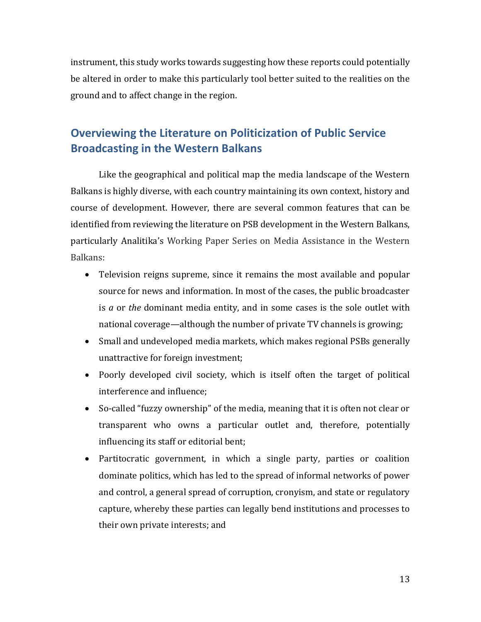instrument, this study works towards suggesting how these reports could potentially be altered in order to make this particularly tool better suited to the realities on the ground and to affect change in the region.

# **Overviewing the Literature on Politicization of Public Service Broadcasting in the Western Balkans**

Like the geographical and political map the media landscape of the Western Balkans is highly diverse, with each country maintaining its own context, history and course of development. However, there are several common features that can be identified from reviewing the literature on PSB development in the Western Balkans, particularly Analitika's Working Paper Series on Media Assistance in the Western Balkans:

- Television reigns supreme, since it remains the most available and popular source for news and information. In most of the cases, the public broadcaster is *a* or *the* dominant media entity, and in some cases is the sole outlet with national coverage—although the number of private TV channels is growing;
- Small and undeveloped media markets, which makes regional PSBs generally unattractive for foreign investment;
- Poorly developed civil society, which is itself often the target of political interference and influence;
- So-called "fuzzy ownership" of the media, meaning that it is often not clear or transparent who owns a particular outlet and, therefore, potentially influencing its staff or editorial bent;
- Partitocratic government, in which a single party, parties or coalition dominate politics, which has led to the spread of informal networks of power and control, a general spread of corruption, cronyism, and state or regulatory capture, whereby these parties can legally bend institutions and processes to their own private interests; and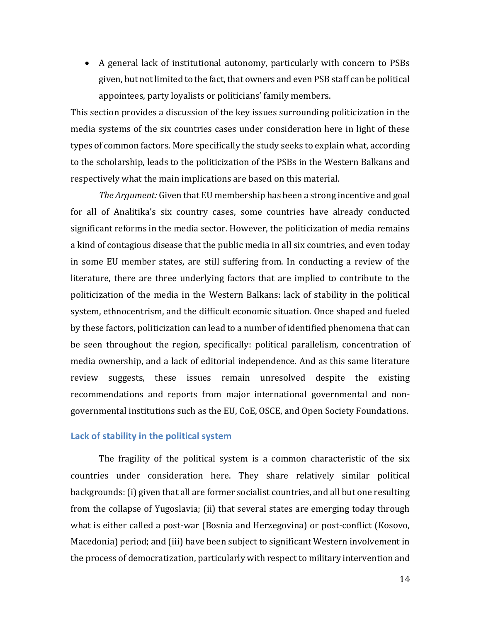A general lack of institutional autonomy, particularly with concern to PSBs given, but not limited to the fact, that owners and even PSB staff can be political appointees, party loyalists or politicians' family members.

This section provides a discussion of the key issues surrounding politicization in the media systems of the six countries cases under consideration here in light of these types of common factors. More specifically the study seeks to explain what, according to the scholarship, leads to the politicization of the PSBs in the Western Balkans and respectively what the main implications are based on this material.

*The Argument:* Given that EU membership has been a strong incentive and goal for all of Analitika's six country cases, some countries have already conducted significant reforms in the media sector. However, the politicization of media remains a kind of contagious disease that the public media in all six countries, and even today in some EU member states, are still suffering from. In conducting a review of the literature, there are three underlying factors that are implied to contribute to the politicization of the media in the Western Balkans: lack of stability in the political system, ethnocentrism, and the difficult economic situation. Once shaped and fueled by these factors, politicization can lead to a number of identified phenomena that can be seen throughout the region, specifically: political parallelism, concentration of media ownership, and a lack of editorial independence. And as this same literature review suggests, these issues remain unresolved despite the existing recommendations and reports from major international governmental and nongovernmental institutions such as the EU, CoE, OSCE, and Open Society Foundations.

#### **Lack of stability in the political system**

The fragility of the political system is a common characteristic of the six countries under consideration here. They share relatively similar political backgrounds: (i) given that all are former socialist countries, and all but one resulting from the collapse of Yugoslavia; (ii) that several states are emerging today through what is either called a post-war (Bosnia and Herzegovina) or post-conflict (Kosovo, Macedonia) period; and (iii) have been subject to significant Western involvement in the process of democratization, particularly with respect to military intervention and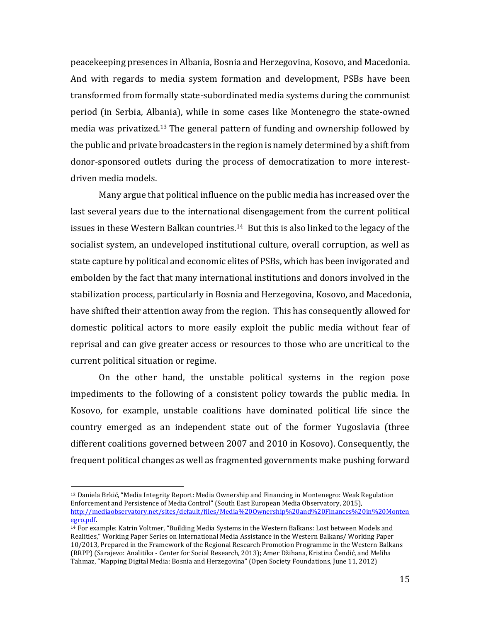peacekeeping presences in Albania, Bosnia and Herzegovina, Kosovo, and Macedonia. And with regards to media system formation and development, PSBs have been transformed from formally state-subordinated media systems during the communist period (in Serbia, Albania), while in some cases like Montenegro the state-owned media was privatized. <sup>13</sup> The general pattern of funding and ownership followed by the public and private broadcasters in the region is namely determined by a shift from donor-sponsored outlets during the process of democratization to more interestdriven media models.

Many argue that political influence on the public media has increased over the last several years due to the international disengagement from the current political issues in these Western Balkan countries. <sup>14</sup> But this is also linked to the legacy of the socialist system, an undeveloped institutional culture, overall corruption, as well as state capture by political and economic elites of PSBs, which has been invigorated and embolden by the fact that many international institutions and donors involved in the stabilization process, particularly in Bosnia and Herzegovina, Kosovo, and Macedonia, have shifted their attention away from the region. This has consequently allowed for domestic political actors to more easily exploit the public media without fear of reprisal and can give greater access or resources to those who are uncritical to the current political situation or regime.

On the other hand, the unstable political systems in the region pose impediments to the following of a consistent policy towards the public media. In Kosovo, for example, unstable coalitions have dominated political life since the country emerged as an independent state out of the former Yugoslavia (three different coalitions governed between 2007 and 2010 in Kosovo). Consequently, the frequent political changes as well as fragmented governments make pushing forward

l

<sup>13</sup> Daniela Brkić, "Media Integrity Report: Media Ownership and Financing in Montenegro: Weak Regulation Enforcement and Persistence of Media Control" (South East European Media Observatory, 2015), [http://mediaobservatory.net/sites/default/files/Media%20Ownership%20and%20Finances%20in%20Monten](http://mediaobservatory.net/sites/default/files/Media%20Ownership%20and%20Finances%20in%20Montenegro.pdf) [egro.pdf.](http://mediaobservatory.net/sites/default/files/Media%20Ownership%20and%20Finances%20in%20Montenegro.pdf)

<sup>14</sup> For example: Katrin Voltmer, "Building Media Systems in the Western Balkans: Lost between Models and Realities," Working Paper Series on International Media Assistance in the Western Balkans/ Working Paper 10/2013, Prepared in the Framework of the Regional Research Promotion Programme in the Western Balkans (RRPP) (Sarajevo: Analitika - Center for Social Research, 2013); Amer Džihana, Kristina Ćendić, and Meliha Tahmaz, "Mapping Digital Media: Bosnia and Herzegovina" (Open Society Foundations, June 11, 2012)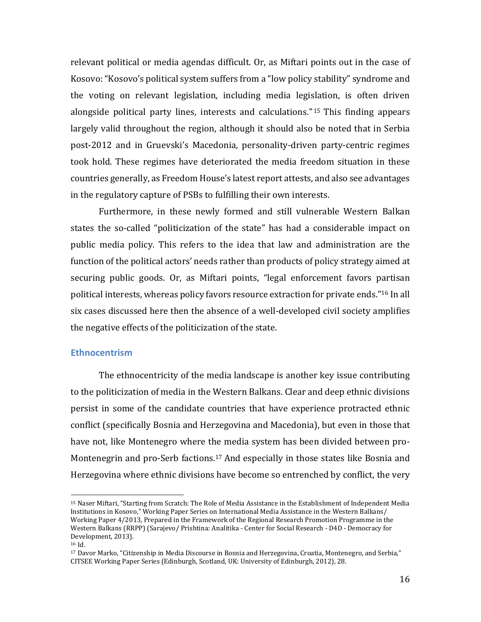relevant political or media agendas difficult. Or, as Miftari points out in the case of Kosovo: "Kosovo's political system suffers from a "low policy stability" syndrome and the voting on relevant legislation, including media legislation, is often driven alongside political party lines, interests and calculations." <sup>15</sup> This finding appears largely valid throughout the region, although it should also be noted that in Serbia post-2012 and in Gruevski's Macedonia, personality-driven party-centric regimes took hold. These regimes have deteriorated the media freedom situation in these countries generally, as Freedom House's latest report attests, and also see advantages in the regulatory capture of PSBs to fulfilling their own interests.

Furthermore, in these newly formed and still vulnerable Western Balkan states the so-called "politicization of the state" has had a considerable impact on public media policy. This refers to the idea that law and administration are the function of the political actors' needs rather than products of policy strategy aimed at securing public goods. Or, as Miftari points, "legal enforcement favors partisan political interests, whereas policy favors resource extraction for private ends." <sup>16</sup> In all six cases discussed here then the absence of a well-developed civil society amplifies the negative effects of the politicization of the state.

#### **Ethnocentrism**

The ethnocentricity of the media landscape is another key issue contributing to the politicization of media in the Western Balkans. Clear and deep ethnic divisions persist in some of the candidate countries that have experience protracted ethnic conflict (specifically Bosnia and Herzegovina and Macedonia), but even in those that have not, like Montenegro where the media system has been divided between pro-Montenegrin and pro-Serb factions.<sup>17</sup> And especially in those states like Bosnia and Herzegovina where ethnic divisions have become so entrenched by conflict, the very

<sup>15</sup> Naser Miftari, "Starting from Scratch: The Role of Media Assistance in the Establishment of Independent Media Institutions in Kosovo," Working Paper Series on International Media Assistance in the Western Balkans/ Working Paper 4/2013, Prepared in the Framework of the Regional Research Promotion Programme in the Western Balkans (RRPP) (Sarajevo/ Prishtina: Analitika - Center for Social Research - D4D - Democracy for Development, 2013).

<sup>16</sup> Id.

<sup>17</sup> Davor Marko, "Citizenship in Media Discourse in Bosnia and Herzegovina, Croatia, Montenegro, and Serbia," CITSEE Working Paper Series (Edinburgh, Scotland, UK: University of Edinburgh, 2012), 28.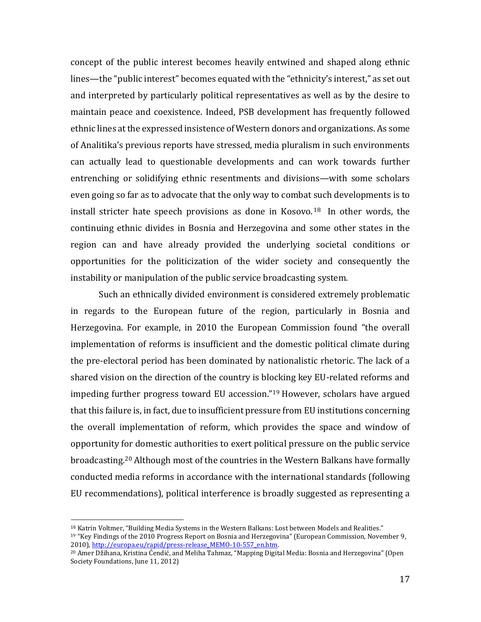concept of the public interest becomes heavily entwined and shaped along ethnic lines—the "public interest" becomes equated with the "ethnicity's interest," as set out and interpreted by particularly political representatives as well as by the desire to maintain peace and coexistence. Indeed, PSB development has frequently followed ethnic lines at the expressed insistence of Western donors and organizations. As some of Analitika's previous reports have stressed, media pluralism in such environments can actually lead to questionable developments and can work towards further entrenching or solidifying ethnic resentments and divisions—with some scholars even going so far as to advocate that the only way to combat such developments is to install stricter hate speech provisions as done in Kosovo. <sup>18</sup> In other words, the continuing ethnic divides in Bosnia and Herzegovina and some other states in the region can and have already provided the underlying societal conditions or opportunities for the politicization of the wider society and consequently the instability or manipulation of the public service broadcasting system.

Such an ethnically divided environment is considered extremely problematic in regards to the European future of the region, particularly in Bosnia and Herzegovina. For example, in 2010 the European Commission found "the overall implementation of reforms is insufficient and the domestic political climate during the pre-electoral period has been dominated by nationalistic rhetoric. The lack of a shared vision on the direction of the country is blocking key EU-related reforms and impeding further progress toward EU accession."<sup>19</sup> However, scholars have argued that this failure is, in fact, due to insufficient pressure from EU institutions concerning the overall implementation of reform, which provides the space and window of opportunity for domestic authorities to exert political pressure on the public service broadcasting. <sup>20</sup> Although most of the countries in the Western Balkans have formally conducted media reforms in accordance with the international standards (following EU recommendations), political interference is broadly suggested as representing a

<sup>18</sup> Katrin Voltmer, "Building Media Systems in the Western Balkans: Lost between Models and Realities."

<sup>19</sup> "Key Findings of the 2010 Progress Report on Bosnia and Herzegovina" (European Commission, November 9, 2010)[, http://europa.eu/rapid/press-release\\_MEMO-10-557\\_en.htm.](http://europa.eu/rapid/press-release_MEMO-10-557_en.htm)

<sup>20</sup> Amer Džihana, Kristina Ćendić, and Meliha Tahmaz, "Mapping Digital Media: Bosnia and Herzegovina" (Open Society Foundations, June 11, 2012)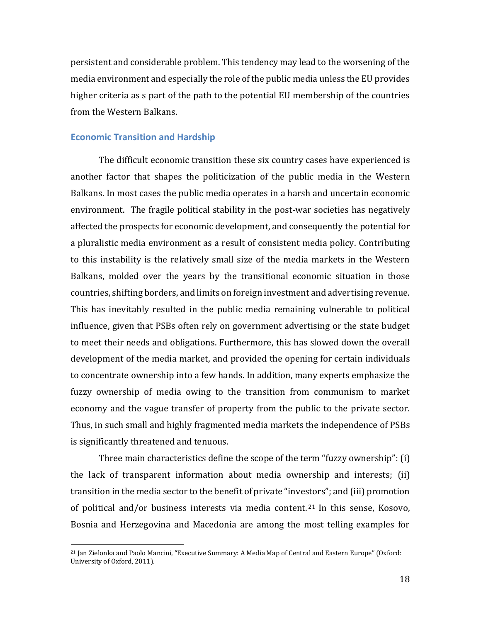persistent and considerable problem. This tendency may lead to the worsening of the media environment and especially the role of the public media unless the EU provides higher criteria as s part of the path to the potential EU membership of the countries from the Western Balkans.

#### **Economic Transition and Hardship**

l

The difficult economic transition these six country cases have experienced is another factor that shapes the politicization of the public media in the Western Balkans. In most cases the public media operates in a harsh and uncertain economic environment. The fragile political stability in the post-war societies has negatively affected the prospects for economic development, and consequently the potential for a pluralistic media environment as a result of consistent media policy. Contributing to this instability is the relatively small size of the media markets in the Western Balkans, molded over the years by the transitional economic situation in those countries, shifting borders, and limits on foreign investment and advertising revenue. This has inevitably resulted in the public media remaining vulnerable to political influence, given that PSBs often rely on government advertising or the state budget to meet their needs and obligations. Furthermore, this has slowed down the overall development of the media market, and provided the opening for certain individuals to concentrate ownership into a few hands. In addition, many experts emphasize the fuzzy ownership of media owing to the transition from communism to market economy and the vague transfer of property from the public to the private sector. Thus, in such small and highly fragmented media markets the independence of PSBs is significantly threatened and tenuous.

Three main characteristics define the scope of the term "fuzzy ownership": (i) the lack of transparent information about media ownership and interests; (ii) transition in the media sector to the benefit of private "investors"; and (iii) promotion of political and/or business interests via media content. <sup>21</sup> In this sense, Kosovo, Bosnia and Herzegovina and Macedonia are among the most telling examples for

<sup>21</sup> Jan Zielonka and Paolo Mancini, "Executive Summary: A Media Map of Central and Eastern Europe" (Oxford: University of Oxford, 2011).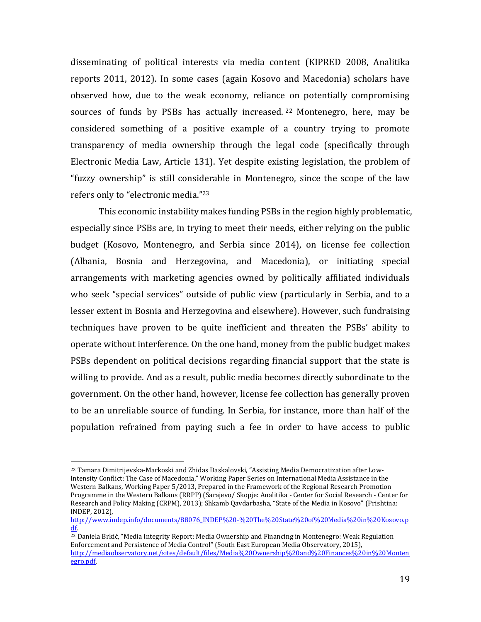disseminating of political interests via media content (KIPRED 2008, Analitika reports 2011, 2012). In some cases (again Kosovo and Macedonia) scholars have observed how, due to the weak economy, reliance on potentially compromising sources of funds by PSBs has actually increased. <sup>22</sup> Montenegro, here, may be considered something of a positive example of a country trying to promote transparency of media ownership through the legal code (specifically through Electronic Media Law, Article 131). Yet despite existing legislation, the problem of "fuzzy ownership" is still considerable in Montenegro, since the scope of the law refers only to "electronic media." 23

This economic instability makes funding PSBs in the region highly problematic, especially since PSBs are, in trying to meet their needs, either relying on the public budget (Kosovo, Montenegro, and Serbia since 2014), on license fee collection (Albania, Bosnia and Herzegovina, and Macedonia), or initiating special arrangements with marketing agencies owned by politically affiliated individuals who seek "special services" outside of public view (particularly in Serbia, and to a lesser extent in Bosnia and Herzegovina and elsewhere). However, such fundraising techniques have proven to be quite inefficient and threaten the PSBs' ability to operate without interference. On the one hand, money from the public budget makes PSBs dependent on political decisions regarding financial support that the state is willing to provide. And as a result, public media becomes directly subordinate to the government. On the other hand, however, license fee collection has generally proven to be an unreliable source of funding. In Serbia, for instance, more than half of the population refrained from paying such a fee in order to have access to public

<sup>22</sup> Tamara Dimitrijevska-Markoski and Zhidas Daskalovski, "Assisting Media Democratization after Low-Intensity Conflict: The Case of Macedonia," Working Paper Series on International Media Assistance in the Western Balkans, Working Paper 5/2013, Prepared in the Framework of the Regional Research Promotion Programme in the Western Balkans (RRPP) (Sarajevo/ Skopje: Analitika - Center for Social Research - Center for Research and Policy Making (CRPM), 2013); Shkamb Qavdarbasha, "State of the Media in Kosovo" (Prishtina: INDEP, 2012),

[http://www.indep.info/documents/88076\\_INDEP%20-%20The%20State%20of%20Media%20in%20Kosovo.p](http://www.indep.info/documents/88076_INDEP%20-%20The%20State%20of%20Media%20in%20Kosovo.pdf) [df.](http://www.indep.info/documents/88076_INDEP%20-%20The%20State%20of%20Media%20in%20Kosovo.pdf) 

<sup>&</sup>lt;sup>23</sup> Daniela Brkić, "Media Integrity Report: Media Ownership and Financing in Montenegro: Weak Regulation Enforcement and Persistence of Media Control" (South East European Media Observatory, 2015), [http://mediaobservatory.net/sites/default/files/Media%20Ownership%20and%20Finances%20in%20Monten](http://mediaobservatory.net/sites/default/files/Media%20Ownership%20and%20Finances%20in%20Montenegro.pdf) [egro.pdf.](http://mediaobservatory.net/sites/default/files/Media%20Ownership%20and%20Finances%20in%20Montenegro.pdf)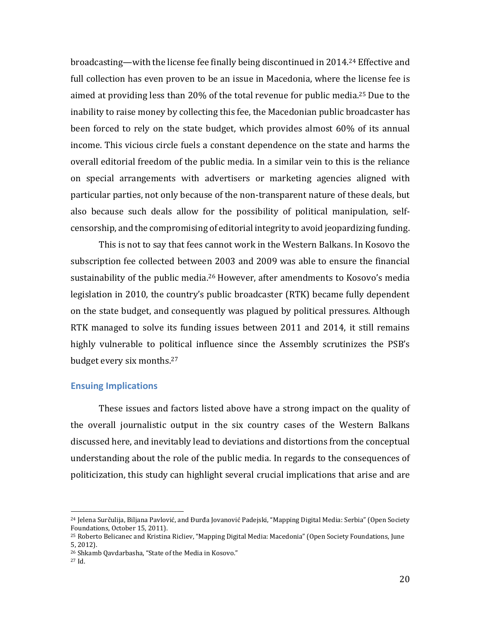broadcasting—with the license fee finally being discontinued in 2014. <sup>24</sup> Effective and full collection has even proven to be an issue in Macedonia, where the license fee is aimed at providing less than 20% of the total revenue for public media. <sup>25</sup> Due to the inability to raise money by collecting this fee, the Macedonian public broadcaster has been forced to rely on the state budget, which provides almost 60% of its annual income. This vicious circle fuels a constant dependence on the state and harms the overall editorial freedom of the public media. In a similar vein to this is the reliance on special arrangements with advertisers or marketing agencies aligned with particular parties, not only because of the non-transparent nature of these deals, but also because such deals allow for the possibility of political manipulation, selfcensorship, and the compromising of editorial integrity to avoid jeopardizing funding.

This is not to say that fees cannot work in the Western Balkans. In Kosovo the subscription fee collected between 2003 and 2009 was able to ensure the financial sustainability of the public media.<sup>26</sup> However, after amendments to Kosovo's media legislation in 2010, the country's public broadcaster (RTK) became fully dependent on the state budget, and consequently was plagued by political pressures. Although RTK managed to solve its funding issues between 2011 and 2014, it still remains highly vulnerable to political influence since the Assembly scrutinizes the PSB's budget every six months. 27

#### **Ensuing Implications**

These issues and factors listed above have a strong impact on the quality of the overall journalistic output in the six country cases of the Western Balkans discussed here, and inevitably lead to deviations and distortions from the conceptual understanding about the role of the public media. In regards to the consequences of politicization, this study can highlight several crucial implications that arise and are

<sup>&</sup>lt;sup>24</sup> Jelena Surčulija, Biljana Pavlović, and Đurđa Jovanović Padejski, "Mapping Digital Media: Serbia" (Open Society Foundations, October 15, 2011).

<sup>25</sup> Roberto Belicanec and Kristina Ricliev, "Mapping Digital Media: Macedonia" (Open Society Foundations, June 5, 2012).

<sup>26</sup> Shkamb Qavdarbasha, "State of the Media in Kosovo."

<sup>27</sup> Id.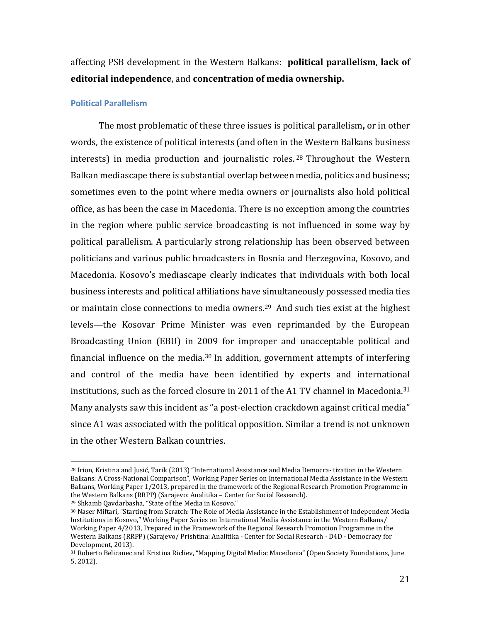affecting PSB development in the Western Balkans: **political parallelism**, **lack of editorial independence**, and **concentration of media ownership.**

#### **Political Parallelism**

The most problematic of these three issues is political parallelism**,** or in other words, the existence of political interests (and often in the Western Balkans business interests) in media production and journalistic roles. <sup>28</sup> Throughout the Western Balkan mediascape there is substantial overlap between media, politics and business; sometimes even to the point where media owners or journalists also hold political office, as has been the case in Macedonia. There is no exception among the countries in the region where public service broadcasting is not influenced in some way by political parallelism. A particularly strong relationship has been observed between politicians and various public broadcasters in Bosnia and Herzegovina, Kosovo, and Macedonia. Kosovo's mediascape clearly indicates that individuals with both local business interests and political affiliations have simultaneously possessed media ties or maintain close connections to media owners. <sup>29</sup> And such ties exist at the highest levels—the Kosovar Prime Minister was even reprimanded by the European Broadcasting Union (EBU) in 2009 for improper and unacceptable political and financial influence on the media. <sup>30</sup> In addition, government attempts of interfering and control of the media have been identified by experts and international institutions, such as the forced closure in 2011 of the A1 TV channel in Macedonia. 31 Many analysts saw this incident as "a post-election crackdown against critical media" since A1 was associated with the political opposition. Similar a trend is not unknown in the other Western Balkan countries.

<sup>29</sup> Shkamb Qavdarbasha, "State of the Media in Kosovo."

<sup>28</sup> Irion, Kristina and Jusić, Tarik (2013) "International Assistance and Media Democra- tization in the Western Balkans: A Cross-National Comparison", Working Paper Series on International Media Assistance in the Western Balkans, Working Paper 1/2013, prepared in the framework of the Regional Research Promotion Programme in the Western Balkans (RRPP) (Sarajevo: Analitika – Center for Social Research).

<sup>30</sup> Naser Miftari, "Starting from Scratch: The Role of Media Assistance in the Establishment of Independent Media Institutions in Kosovo," Working Paper Series on International Media Assistance in the Western Balkans/ Working Paper 4/2013, Prepared in the Framework of the Regional Research Promotion Programme in the Western Balkans (RRPP) (Sarajevo/ Prishtina: Analitika - Center for Social Research - D4D - Democracy for Development, 2013).

<sup>31</sup> Roberto Belicanec and Kristina Ricliev, "Mapping Digital Media: Macedonia" (Open Society Foundations, June 5, 2012).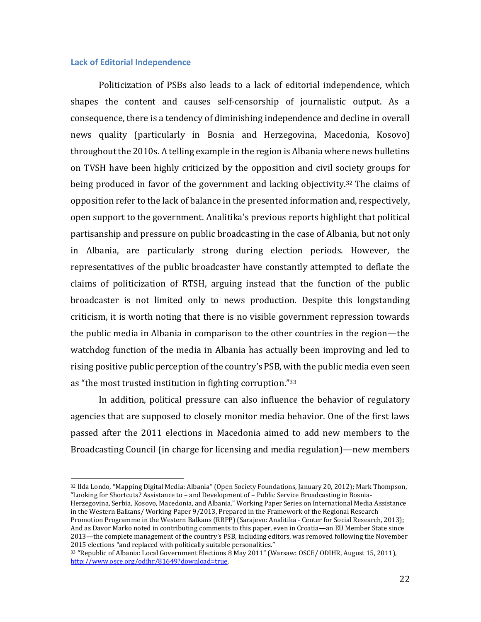#### **Lack of Editorial Independence**

 $\overline{a}$ 

Politicization of PSBs also leads to a lack of editorial independence, which shapes the content and causes self-censorship of journalistic output. As a consequence, there is a tendency of diminishing independence and decline in overall news quality (particularly in Bosnia and Herzegovina, Macedonia, Kosovo) throughout the 2010s. A telling example in the region is Albania where news bulletins on TVSH have been highly criticized by the opposition and civil society groups for being produced in favor of the government and lacking objectivity. <sup>32</sup> The claims of opposition refer to the lack of balance in the presented information and, respectively, open support to the government. Analitika's previous reports highlight that political partisanship and pressure on public broadcasting in the case of Albania, but not only in Albania, are particularly strong during election periods. However, the representatives of the public broadcaster have constantly attempted to deflate the claims of politicization of RTSH, arguing instead that the function of the public broadcaster is not limited only to news production. Despite this longstanding criticism, it is worth noting that there is no visible government repression towards the public media in Albania in comparison to the other countries in the region—the watchdog function of the media in Albania has actually been improving and led to rising positive public perception of the country's PSB, with the public media even seen as "the most trusted institution in fighting corruption." 33

In addition, political pressure can also influence the behavior of regulatory agencies that are supposed to closely monitor media behavior. One of the first laws passed after the 2011 elections in Macedonia aimed to add new members to the Broadcasting Council (in charge for licensing and media regulation)—new members

<sup>32</sup> Ilda Londo, "Mapping Digital Media: Albania" (Open Society Foundations, January 20, 2012); Mark Thompson, "Looking for Shortcuts? Assistance to – and Development of – Public Service Broadcasting in Bosnia-

Herzegovina, Serbia, Kosovo, Macedonia, and Albania," Working Paper Series on International Media Assistance in the Western Balkans/ Working Paper 9/2013, Prepared in the Framework of the Regional Research Promotion Programme in the Western Balkans (RRPP) (Sarajevo: Analitika - Center for Social Research, 2013); And as Davor Marko noted in contributing comments to this paper, even in Croatia—an EU Member State since

<sup>2013</sup>—the complete management of the country's PSB, including editors, was removed following the November 2015 elections "and replaced with politically suitable personalities."

<sup>33</sup> "Republic of Albania: Local Government Elections 8 May 2011" (Warsaw: OSCE/ ODIHR, August 15, 2011), [http://www.osce.org/odihr/81649?download=true.](http://www.osce.org/odihr/81649?download=true)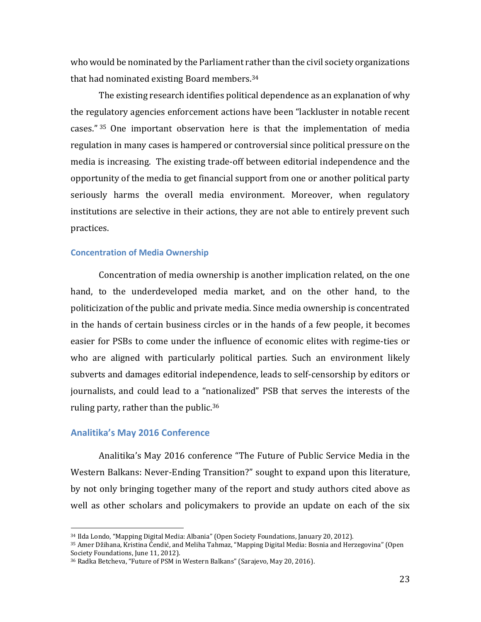who would be nominated by the Parliament rather than the civil society organizations that had nominated existing Board members. 34

The existing research identifies political dependence as an explanation of why the regulatory agencies enforcement actions have been "lackluster in notable recent cases." <sup>35</sup> One important observation here is that the implementation of media regulation in many cases is hampered or controversial since political pressure on the media is increasing. The existing trade-off between editorial independence and the opportunity of the media to get financial support from one or another political party seriously harms the overall media environment. Moreover, when regulatory institutions are selective in their actions, they are not able to entirely prevent such practices.

#### **Concentration of Media Ownership**

Concentration of media ownership is another implication related, on the one hand, to the underdeveloped media market, and on the other hand, to the politicization of the public and private media. Since media ownership is concentrated in the hands of certain business circles or in the hands of a few people, it becomes easier for PSBs to come under the influence of economic elites with regime-ties or who are aligned with particularly political parties. Such an environment likely subverts and damages editorial independence, leads to self-censorship by editors or journalists, and could lead to a "nationalized" PSB that serves the interests of the ruling party, rather than the public.<sup>36</sup>

#### **Analitika's May 2016 Conference**

 $\overline{a}$ 

Analitika's May 2016 conference "The Future of Public Service Media in the Western Balkans: Never-Ending Transition?" sought to expand upon this literature, by not only bringing together many of the report and study authors cited above as well as other scholars and policymakers to provide an update on each of the six

<sup>34</sup> Ilda Londo, "Mapping Digital Media: Albania" (Open Society Foundations, January 20, 2012).

<sup>35</sup> Amer Džihana, Kristina Ćendić, and Meliha Tahmaz, "Mapping Digital Media: Bosnia and Herzegovina" (Open Society Foundations, June 11, 2012).

<sup>36</sup> Radka Betcheva, "Future of PSM in Western Balkans" (Sarajevo, May 20, 2016).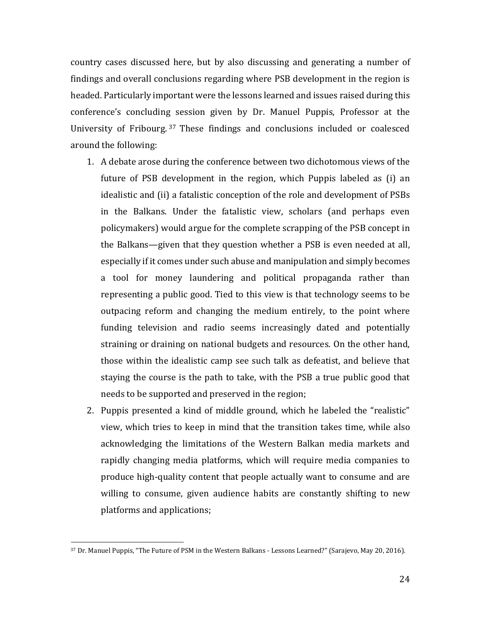country cases discussed here, but by also discussing and generating a number of findings and overall conclusions regarding where PSB development in the region is headed. Particularly important were the lessons learned and issues raised during this conference's concluding session given by Dr. Manuel Puppis, Professor at the University of Fribourg. <sup>37</sup> These findings and conclusions included or coalesced around the following:

- 1. A debate arose during the conference between two dichotomous views of the future of PSB development in the region, which Puppis labeled as (i) an idealistic and (ii) a fatalistic conception of the role and development of PSBs in the Balkans. Under the fatalistic view, scholars (and perhaps even policymakers) would argue for the complete scrapping of the PSB concept in the Balkans—given that they question whether a PSB is even needed at all, especially if it comes under such abuse and manipulation and simply becomes a tool for money laundering and political propaganda rather than representing a public good. Tied to this view is that technology seems to be outpacing reform and changing the medium entirely, to the point where funding television and radio seems increasingly dated and potentially straining or draining on national budgets and resources. On the other hand, those within the idealistic camp see such talk as defeatist, and believe that staying the course is the path to take, with the PSB a true public good that needs to be supported and preserved in the region;
- 2. Puppis presented a kind of middle ground, which he labeled the "realistic" view, which tries to keep in mind that the transition takes time, while also acknowledging the limitations of the Western Balkan media markets and rapidly changing media platforms, which will require media companies to produce high-quality content that people actually want to consume and are willing to consume, given audience habits are constantly shifting to new platforms and applications;

<sup>37</sup> Dr. Manuel Puppis, "The Future of PSM in the Western Balkans - Lessons Learned?" (Sarajevo, May 20, 2016).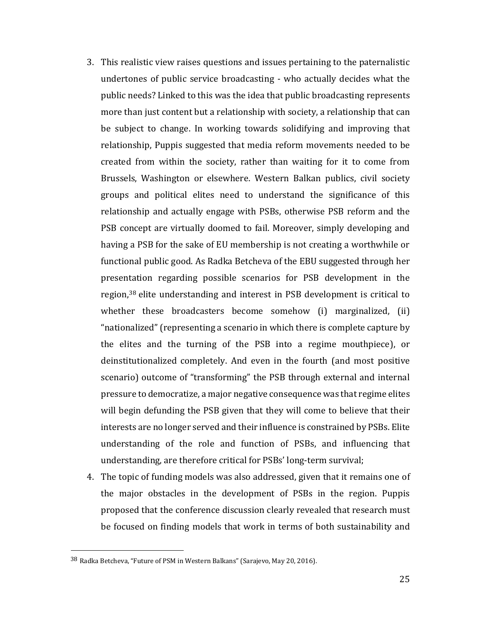- 3. This realistic view raises questions and issues pertaining to the paternalistic undertones of public service broadcasting - who actually decides what the public needs? Linked to this was the idea that public broadcasting represents more than just content but a relationship with society, a relationship that can be subject to change. In working towards solidifying and improving that relationship, Puppis suggested that media reform movements needed to be created from within the society, rather than waiting for it to come from Brussels, Washington or elsewhere. Western Balkan publics, civil society groups and political elites need to understand the significance of this relationship and actually engage with PSBs, otherwise PSB reform and the PSB concept are virtually doomed to fail. Moreover, simply developing and having a PSB for the sake of EU membership is not creating a worthwhile or functional public good. As Radka Betcheva of the EBU suggested through her presentation regarding possible scenarios for PSB development in the region,<sup>38</sup> elite understanding and interest in PSB development is critical to whether these broadcasters become somehow (i) marginalized, (ii) "nationalized" (representing a scenario in which there is complete capture by the elites and the turning of the PSB into a regime mouthpiece), or deinstitutionalized completely. And even in the fourth (and most positive scenario) outcome of "transforming" the PSB through external and internal pressure to democratize, a major negative consequence was that regime elites will begin defunding the PSB given that they will come to believe that their interests are no longer served and their influence is constrained by PSBs. Elite understanding of the role and function of PSBs, and influencing that understanding, are therefore critical for PSBs' long-term survival;
- 4. The topic of funding models was also addressed, given that it remains one of the major obstacles in the development of PSBs in the region. Puppis proposed that the conference discussion clearly revealed that research must be focused on finding models that work in terms of both sustainability and

l

<sup>38</sup> Radka Betcheva, "Future of PSM in Western Balkans" (Sarajevo, May 20, 2016).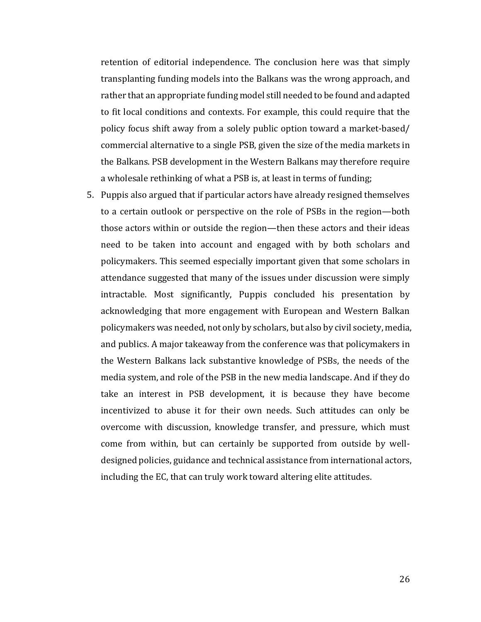retention of editorial independence. The conclusion here was that simply transplanting funding models into the Balkans was the wrong approach, and rather that an appropriate funding model still needed to be found and adapted to fit local conditions and contexts. For example, this could require that the policy focus shift away from a solely public option toward a market-based/ commercial alternative to a single PSB, given the size of the media markets in the Balkans. PSB development in the Western Balkans may therefore require a wholesale rethinking of what a PSB is, at least in terms of funding;

5. Puppis also argued that if particular actors have already resigned themselves to a certain outlook or perspective on the role of PSBs in the region—both those actors within or outside the region—then these actors and their ideas need to be taken into account and engaged with by both scholars and policymakers. This seemed especially important given that some scholars in attendance suggested that many of the issues under discussion were simply intractable. Most significantly, Puppis concluded his presentation by acknowledging that more engagement with European and Western Balkan policymakers was needed, not only by scholars, but also by civil society, media, and publics. A major takeaway from the conference was that policymakers in the Western Balkans lack substantive knowledge of PSBs, the needs of the media system, and role of the PSB in the new media landscape. And if they do take an interest in PSB development, it is because they have become incentivized to abuse it for their own needs. Such attitudes can only be overcome with discussion, knowledge transfer, and pressure, which must come from within, but can certainly be supported from outside by welldesigned policies, guidance and technical assistance from international actors, including the EC, that can truly work toward altering elite attitudes.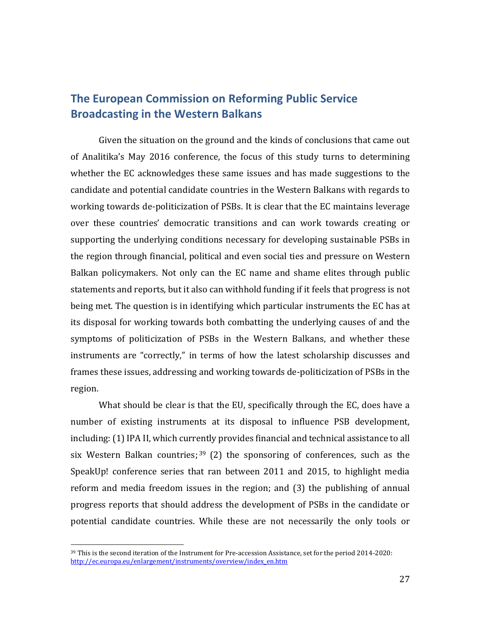# **The European Commission on Reforming Public Service Broadcasting in the Western Balkans**

Given the situation on the ground and the kinds of conclusions that came out of Analitika's May 2016 conference, the focus of this study turns to determining whether the EC acknowledges these same issues and has made suggestions to the candidate and potential candidate countries in the Western Balkans with regards to working towards de-politicization of PSBs. It is clear that the EC maintains leverage over these countries' democratic transitions and can work towards creating or supporting the underlying conditions necessary for developing sustainable PSBs in the region through financial, political and even social ties and pressure on Western Balkan policymakers. Not only can the EC name and shame elites through public statements and reports, but it also can withhold funding if it feels that progress is not being met. The question is in identifying which particular instruments the EC has at its disposal for working towards both combatting the underlying causes of and the symptoms of politicization of PSBs in the Western Balkans, and whether these instruments are "correctly," in terms of how the latest scholarship discusses and frames these issues, addressing and working towards de-politicization of PSBs in the region.

What should be clear is that the EU, specifically through the EC, does have a number of existing instruments at its disposal to influence PSB development, including: (1) IPA II, which currently provides financial and technical assistance to all six Western Balkan countries;  $39$  (2) the sponsoring of conferences, such as the SpeakUp! conference series that ran between 2011 and 2015, to highlight media reform and media freedom issues in the region; and (3) the publishing of annual progress reports that should address the development of PSBs in the candidate or potential candidate countries. While these are not necessarily the only tools or

l

<sup>39</sup> This is the second iteration of the Instrument for Pre-accession Assistance, set for the period 2014-2020: [http://ec.europa.eu/enlargement/instruments/overview/index\\_en.htm](http://ec.europa.eu/enlargement/instruments/overview/index_en.htm)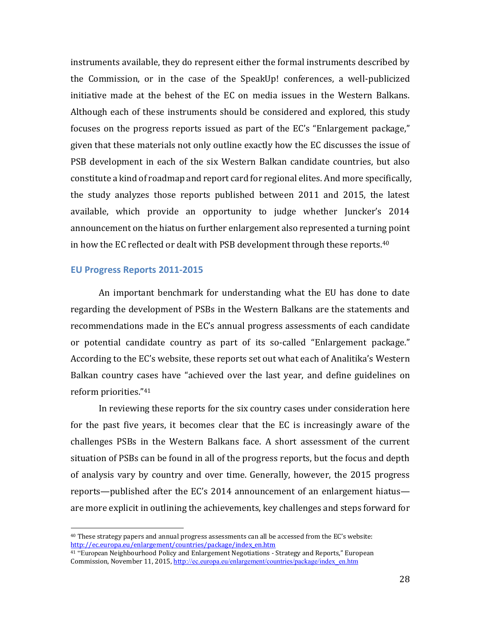instruments available, they do represent either the formal instruments described by the Commission, or in the case of the SpeakUp! conferences, a well-publicized initiative made at the behest of the EC on media issues in the Western Balkans. Although each of these instruments should be considered and explored, this study focuses on the progress reports issued as part of the EC's "Enlargement package," given that these materials not only outline exactly how the EC discusses the issue of PSB development in each of the six Western Balkan candidate countries, but also constitute a kind of roadmap and report card for regional elites. And more specifically, the study analyzes those reports published between 2011 and 2015, the latest available, which provide an opportunity to judge whether Juncker's 2014 announcement on the hiatus on further enlargement also represented a turning point in how the EC reflected or dealt with PSB development through these reports.<sup>40</sup>

#### **EU Progress Reports 2011-2015**

 $\overline{\phantom{a}}$ 

An important benchmark for understanding what the EU has done to date regarding the development of PSBs in the Western Balkans are the statements and recommendations made in the EC's annual progress assessments of each candidate or potential candidate country as part of its so-called "Enlargement package." According to the EC's website, these reports set out what each of Analitika's Western Balkan country cases have "achieved over the last year, and define guidelines on reform priorities."<sup>41</sup>

In reviewing these reports for the six country cases under consideration here for the past five years, it becomes clear that the EC is increasingly aware of the challenges PSBs in the Western Balkans face. A short assessment of the current situation of PSBs can be found in all of the progress reports, but the focus and depth of analysis vary by country and over time. Generally, however, the 2015 progress reports—published after the EC's 2014 announcement of an enlargement hiatus are more explicit in outlining the achievements, key challenges and steps forward for

<sup>40</sup> These strategy papers and annual progress assessments can all be accessed from the EC's website: [http://ec.europa.eu/enlargement/countries/package/index\\_en.htm](http://ec.europa.eu/enlargement/countries/package/index_en.htm)

<sup>41</sup> "European Neighbourhood Policy and Enlargement Negotiations - Strategy and Reports," European Commission, November 11, 2015, http[://ec.europa.eu/enlargement/countries/package/index\\_en.htm](http://ec.europa.eu/enlargement/countries/package/index_en.htm)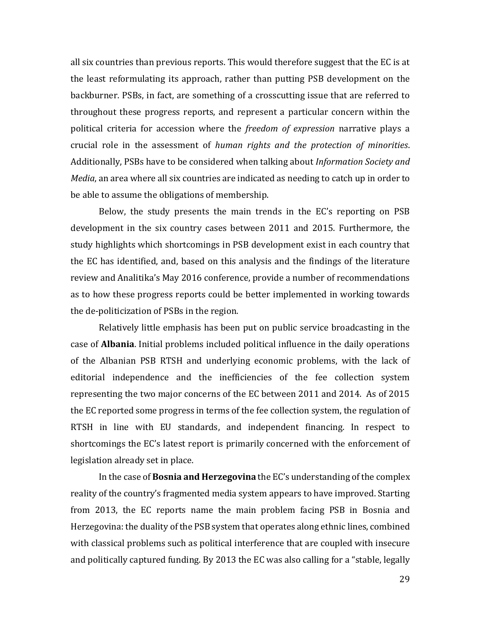all six countries than previous reports. This would therefore suggest that the EC is at the least reformulating its approach, rather than putting PSB development on the backburner. PSBs, in fact, are something of a crosscutting issue that are referred to throughout these progress reports, and represent a particular concern within the political criteria for accession where the *freedom of expression* narrative plays a crucial role in the assessment of *human rights and the protection of minorities*. Additionally, PSBs have to be considered when talking about *Information Society and Media*, an area where all six countries are indicated as needing to catch up in order to be able to assume the obligations of membership.

Below, the study presents the main trends in the EC's reporting on PSB development in the six country cases between 2011 and 2015. Furthermore, the study highlights which shortcomings in PSB development exist in each country that the EC has identified, and, based on this analysis and the findings of the literature review and Analitika's May 2016 conference, provide a number of recommendations as to how these progress reports could be better implemented in working towards the de-politicization of PSBs in the region.

Relatively little emphasis has been put on public service broadcasting in the case of **Albania**. Initial problems included political influence in the daily operations of the Albanian PSB RTSH and underlying economic problems, with the lack of editorial independence and the inefficiencies of the fee collection system representing the two major concerns of the EC between 2011 and 2014. As of 2015 the EC reported some progress in terms of the fee collection system, the regulation of RTSH in line with EU standards, and independent financing. In respect to shortcomings the EC's latest report is primarily concerned with the enforcement of legislation already set in place.

In the case of **Bosnia and Herzegovina** the EC's understanding of the complex reality of the country's fragmented media system appears to have improved. Starting from 2013, the EC reports name the main problem facing PSB in Bosnia and Herzegovina: the duality of the PSB system that operates along ethnic lines, combined with classical problems such as political interference that are coupled with insecure and politically captured funding. By 2013 the EC was also calling for a "stable, legally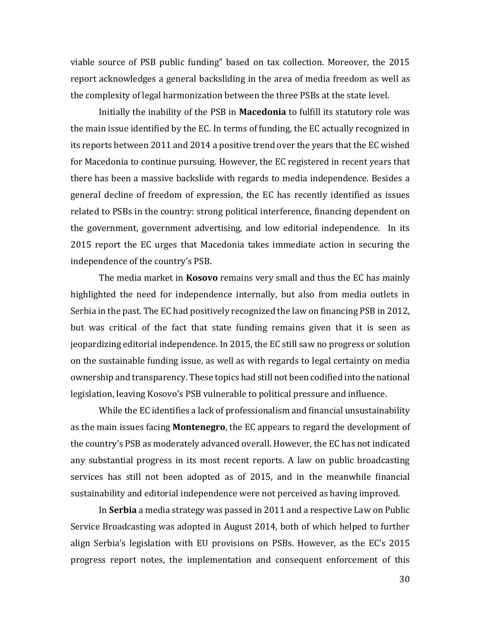viable source of PSB public funding" based on tax collection. Moreover, the 2015 report acknowledges a general backsliding in the area of media freedom as well as the complexity of legal harmonization between the three PSBs at the state level.

Initially the inability of the PSB in **Macedonia** to fulfill its statutory role was the main issue identified by the EC. In terms of funding, the EC actually recognized in its reports between 2011 and 2014 a positive trend over the years that the EC wished for Macedonia to continue pursuing. However, the EC registered in recent years that there has been a massive backslide with regards to media independence. Besides a general decline of freedom of expression, the EC has recently identified as issues related to PSBs in the country: strong political interference, financing dependent on the government, government advertising, and low editorial independence. In its 2015 report the EC urges that Macedonia takes immediate action in securing the independence of the country's PSB.

The media market in **Kosovo** remains very small and thus the EC has mainly highlighted the need for independence internally, but also from media outlets in Serbia in the past. The EC had positively recognized the law on financing PSB in 2012, but was critical of the fact that state funding remains given that it is seen as jeopardizing editorial independence. In 2015, the EC still saw no progress or solution on the sustainable funding issue, as well as with regards to legal certainty on media ownership and transparency. These topics had still not been codified into the national legislation, leaving Kosovo's PSB vulnerable to political pressure and influence.

While the EC identifies a lack of professionalism and financial unsustainability as the main issues facing **Montenegro**, the EC appears to regard the development of the country's PSB as moderately advanced overall. However, the EC has not indicated any substantial progress in its most recent reports. A law on public broadcasting services has still not been adopted as of 2015, and in the meanwhile financial sustainability and editorial independence were not perceived as having improved.

In **Serbia** a media strategy was passed in 2011 and a respective Law on Public Service Broadcasting was adopted in August 2014, both of which helped to further align Serbia's legislation with EU provisions on PSBs. However, as the EC's 2015 progress report notes, the implementation and consequent enforcement of this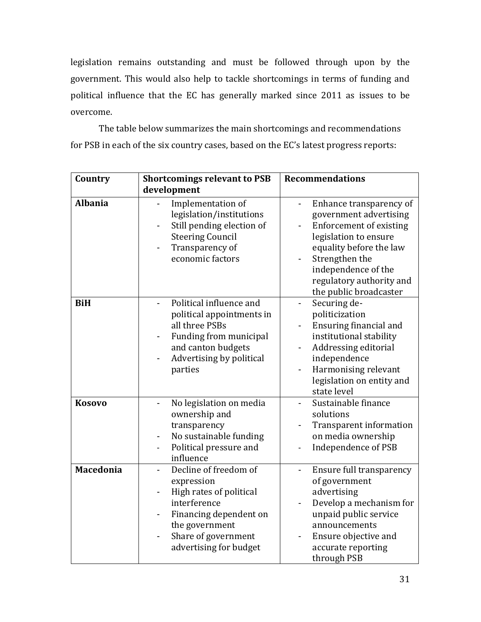legislation remains outstanding and must be followed through upon by the government. This would also help to tackle shortcomings in terms of funding and political influence that the EC has generally marked since 2011 as issues to be overcome.

The table below summarizes the main shortcomings and recommendations for PSB in each of the six country cases, based on the EC's latest progress reports:

| Country        | <b>Shortcomings relevant to PSB</b>                                                                                                                                         | <b>Recommendations</b>                                                                                                                                                                                                                 |
|----------------|-----------------------------------------------------------------------------------------------------------------------------------------------------------------------------|----------------------------------------------------------------------------------------------------------------------------------------------------------------------------------------------------------------------------------------|
|                | development                                                                                                                                                                 |                                                                                                                                                                                                                                        |
| <b>Albania</b> | Implementation of<br>legislation/institutions<br>Still pending election of<br><b>Steering Council</b><br>Transparency of<br>economic factors                                | Enhance transparency of<br>government advertising<br><b>Enforcement of existing</b><br>legislation to ensure<br>equality before the law<br>Strengthen the<br>independence of the<br>regulatory authority and<br>the public broadcaster |
| <b>BiH</b>     | Political influence and<br>political appointments in<br>all three PSBs<br>Funding from municipal<br>and canton budgets<br>Advertising by political<br>parties               | Securing de-<br>$\frac{1}{2}$<br>politicization<br>Ensuring financial and<br>institutional stability<br>Addressing editorial<br>independence<br>Harmonising relevant<br>legislation on entity and<br>state level                       |
| <b>Kosovo</b>  | No legislation on media<br>ownership and<br>transparency<br>No sustainable funding<br>Political pressure and<br>$\blacksquare$<br>influence                                 | Sustainable finance<br>solutions<br>Transparent information<br>on media ownership<br>Independence of PSB                                                                                                                               |
| Macedonia      | Decline of freedom of<br>expression<br>High rates of political<br>interference<br>Financing dependent on<br>the government<br>Share of government<br>advertising for budget | Ensure full transparency<br>of government<br>advertising<br>Develop a mechanism for<br>unpaid public service<br>announcements<br>Ensure objective and<br>accurate reporting<br>through PSB                                             |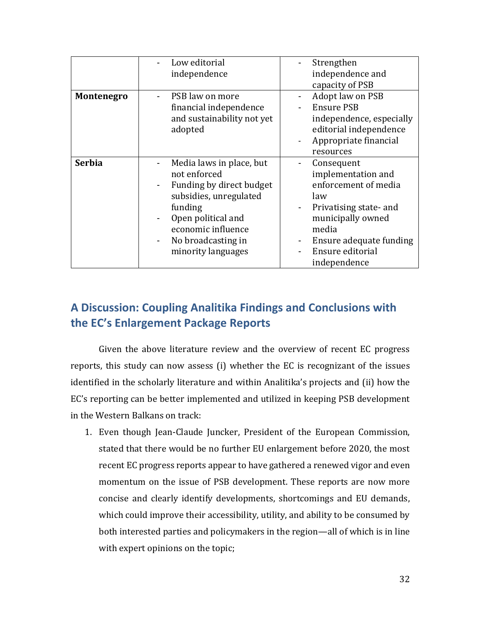|               | Low editorial<br>independence                                                                                                                                                                     | Strengthen<br>independence and<br>capacity of PSB                                                                                                                                      |
|---------------|---------------------------------------------------------------------------------------------------------------------------------------------------------------------------------------------------|----------------------------------------------------------------------------------------------------------------------------------------------------------------------------------------|
| Montenegro    | PSB law on more<br>financial independence<br>and sustainability not yet<br>adopted                                                                                                                | Adopt law on PSB<br><b>Ensure PSB</b><br>independence, especially<br>editorial independence<br>Appropriate financial<br>resources                                                      |
| <b>Serbia</b> | Media laws in place, but<br>not enforced<br>Funding by direct budget<br>subsidies, unregulated<br>funding<br>Open political and<br>economic influence<br>No broadcasting in<br>minority languages | Consequent<br>implementation and<br>enforcement of media<br>law<br>Privatising state- and<br>municipally owned<br>media<br>Ensure adequate funding<br>Ensure editorial<br>independence |

# **A Discussion: Coupling Analitika Findings and Conclusions with the EC's Enlargement Package Reports**

Given the above literature review and the overview of recent EC progress reports, this study can now assess (i) whether the EC is recognizant of the issues identified in the scholarly literature and within Analitika's projects and (ii) how the EC's reporting can be better implemented and utilized in keeping PSB development in the Western Balkans on track:

1. Even though Jean-Claude Juncker, President of the European Commission, stated that there would be no further EU enlargement before 2020, the most recent EC progress reports appear to have gathered a renewed vigor and even momentum on the issue of PSB development. These reports are now more concise and clearly identify developments, shortcomings and EU demands, which could improve their accessibility, utility, and ability to be consumed by both interested parties and policymakers in the region—all of which is in line with expert opinions on the topic;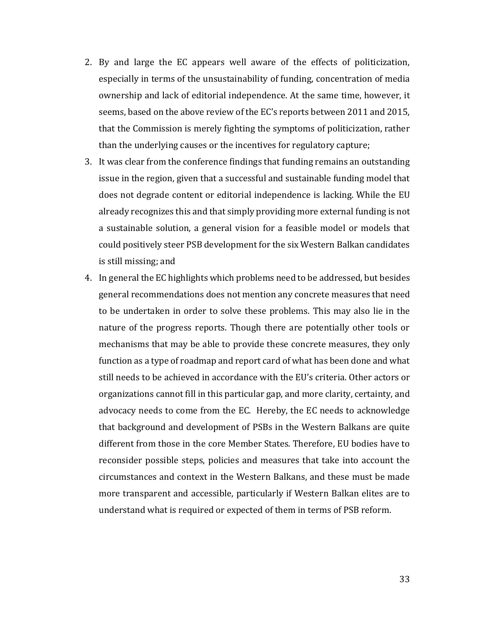- 2. By and large the EC appears well aware of the effects of politicization, especially in terms of the unsustainability of funding, concentration of media ownership and lack of editorial independence. At the same time, however, it seems, based on the above review of the EC's reports between 2011 and 2015, that the Commission is merely fighting the symptoms of politicization, rather than the underlying causes or the incentives for regulatory capture;
- 3. It was clear from the conference findings that funding remains an outstanding issue in the region, given that a successful and sustainable funding model that does not degrade content or editorial independence is lacking. While the EU already recognizes this and that simply providing more external funding is not a sustainable solution, a general vision for a feasible model or models that could positively steer PSB development for the six Western Balkan candidates is still missing; and
- 4. In general the EC highlights which problems need to be addressed, but besides general recommendations does not mention any concrete measures that need to be undertaken in order to solve these problems. This may also lie in the nature of the progress reports. Though there are potentially other tools or mechanisms that may be able to provide these concrete measures, they only function as a type of roadmap and report card of what has been done and what still needs to be achieved in accordance with the EU's criteria. Other actors or organizations cannot fill in this particular gap, and more clarity, certainty, and advocacy needs to come from the EC. Hereby, the EC needs to acknowledge that background and development of PSBs in the Western Balkans are quite different from those in the core Member States. Therefore, EU bodies have to reconsider possible steps, policies and measures that take into account the circumstances and context in the Western Balkans, and these must be made more transparent and accessible, particularly if Western Balkan elites are to understand what is required or expected of them in terms of PSB reform.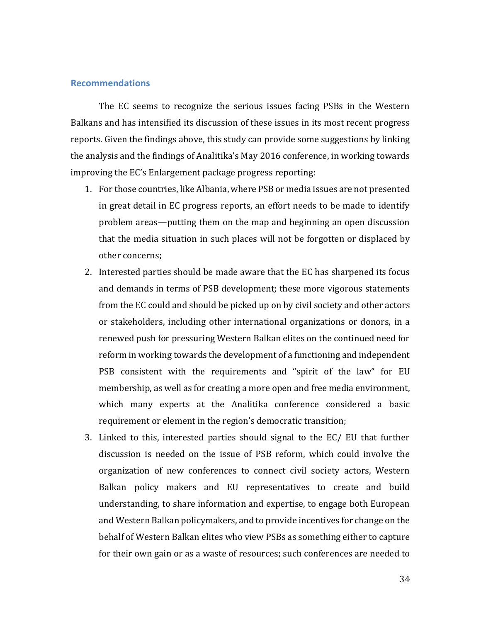#### **Recommendations**

The EC seems to recognize the serious issues facing PSBs in the Western Balkans and has intensified its discussion of these issues in its most recent progress reports. Given the findings above, this study can provide some suggestions by linking the analysis and the findings of Analitika's May 2016 conference, in working towards improving the EC's Enlargement package progress reporting:

- 1. For those countries, like Albania, where PSB or media issues are not presented in great detail in EC progress reports, an effort needs to be made to identify problem areas—putting them on the map and beginning an open discussion that the media situation in such places will not be forgotten or displaced by other concerns;
- 2. Interested parties should be made aware that the EC has sharpened its focus and demands in terms of PSB development; these more vigorous statements from the EC could and should be picked up on by civil society and other actors or stakeholders, including other international organizations or donors, in a renewed push for pressuring Western Balkan elites on the continued need for reform in working towards the development of a functioning and independent PSB consistent with the requirements and "spirit of the law" for EU membership, as well as for creating a more open and free media environment, which many experts at the Analitika conference considered a basic requirement or element in the region's democratic transition;
- 3. Linked to this, interested parties should signal to the EC/ EU that further discussion is needed on the issue of PSB reform, which could involve the organization of new conferences to connect civil society actors, Western Balkan policy makers and EU representatives to create and build understanding, to share information and expertise, to engage both European and Western Balkan policymakers, and to provide incentives for change on the behalf of Western Balkan elites who view PSBs as something either to capture for their own gain or as a waste of resources; such conferences are needed to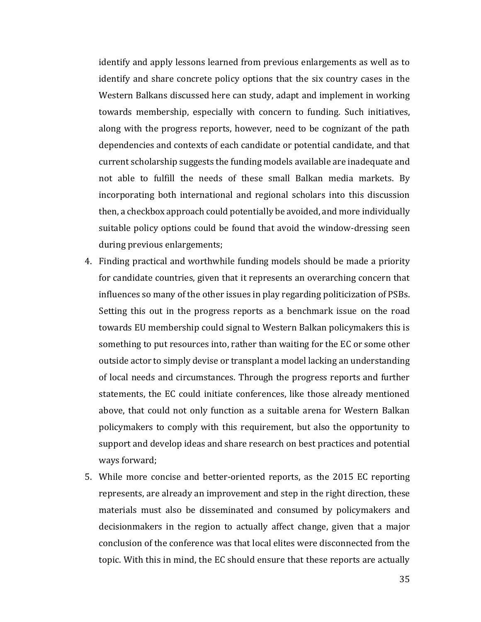identify and apply lessons learned from previous enlargements as well as to identify and share concrete policy options that the six country cases in the Western Balkans discussed here can study, adapt and implement in working towards membership, especially with concern to funding. Such initiatives, along with the progress reports, however, need to be cognizant of the path dependencies and contexts of each candidate or potential candidate, and that current scholarship suggests the funding models available are inadequate and not able to fulfill the needs of these small Balkan media markets. By incorporating both international and regional scholars into this discussion then, a checkbox approach could potentially be avoided, and more individually suitable policy options could be found that avoid the window-dressing seen during previous enlargements;

- 4. Finding practical and worthwhile funding models should be made a priority for candidate countries, given that it represents an overarching concern that influences so many of the other issues in play regarding politicization of PSBs. Setting this out in the progress reports as a benchmark issue on the road towards EU membership could signal to Western Balkan policymakers this is something to put resources into, rather than waiting for the EC or some other outside actor to simply devise or transplant a model lacking an understanding of local needs and circumstances. Through the progress reports and further statements, the EC could initiate conferences, like those already mentioned above, that could not only function as a suitable arena for Western Balkan policymakers to comply with this requirement, but also the opportunity to support and develop ideas and share research on best practices and potential ways forward;
- 5. While more concise and better-oriented reports, as the 2015 EC reporting represents, are already an improvement and step in the right direction, these materials must also be disseminated and consumed by policymakers and decisionmakers in the region to actually affect change, given that a major conclusion of the conference was that local elites were disconnected from the topic. With this in mind, the EC should ensure that these reports are actually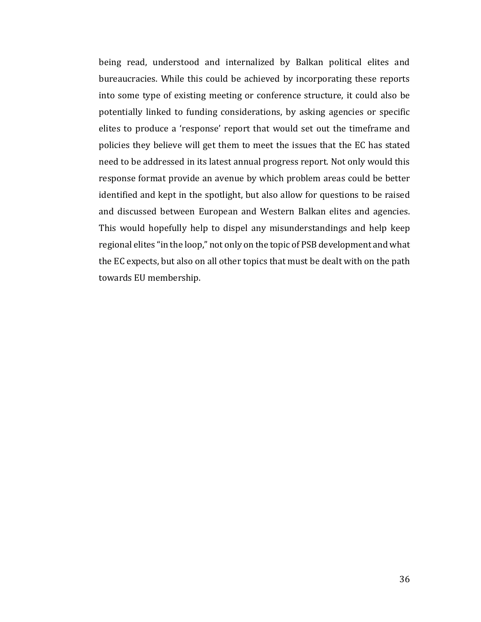being read, understood and internalized by Balkan political elites and bureaucracies. While this could be achieved by incorporating these reports into some type of existing meeting or conference structure, it could also be potentially linked to funding considerations, by asking agencies or specific elites to produce a 'response' report that would set out the timeframe and policies they believe will get them to meet the issues that the EC has stated need to be addressed in its latest annual progress report. Not only would this response format provide an avenue by which problem areas could be better identified and kept in the spotlight, but also allow for questions to be raised and discussed between European and Western Balkan elites and agencies. This would hopefully help to dispel any misunderstandings and help keep regional elites "in the loop," not only on the topic of PSB development and what the EC expects, but also on all other topics that must be dealt with on the path towards EU membership.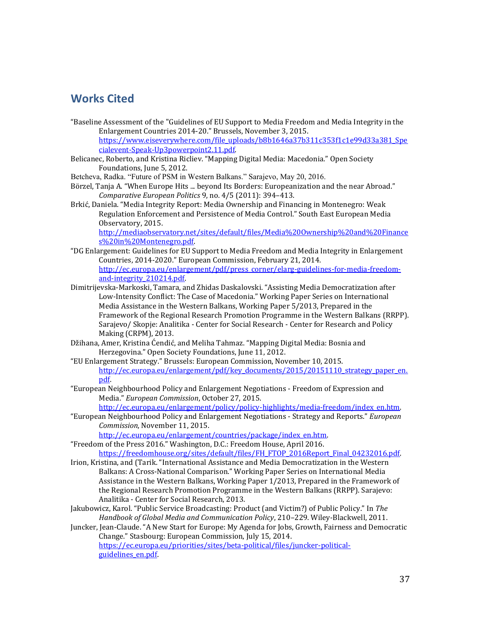## **Works Cited**

- "Baseline Assessment of the "Guidelines of EU Support to Media Freedom and Media Integrity in the Enlargement Countries 2014-20." Brussels, November 3, 2015. [https://www.eiseverywhere.com/file\\_uploads/b8b1646a37b311c353f1c1e99d33a381\\_Spe](https://www.eiseverywhere.com/file_uploads/b8b1646a37b311c353f1c1e99d33a381_Specialevent-Speak-Up3powerpoint2.11.pdf) [cialevent-Speak-Up3powerpoint2.11.pdf.](https://www.eiseverywhere.com/file_uploads/b8b1646a37b311c353f1c1e99d33a381_Specialevent-Speak-Up3powerpoint2.11.pdf)
- Belicanec, Roberto, and Kristina Ricliev. "Mapping Digital Media: Macedonia." Open Society Foundations, June 5, 2012.
- Betcheva, Radka. "Future of PSM in Western Balkans." Sarajevo, May 20, 2016.
- Börzel, Tanja A. "When Europe Hits ... beyond Its Borders: Europeanization and the near Abroad." *Comparative European Politics* 9, no. 4/5 (2011): 394–413.
- Brkić, Daniela. "Media Integrity Report: Media Ownership and Financing in Montenegro: Weak Regulation Enforcement and Persistence of Media Control." South East European Media Observatory, 2015.

[http://mediaobservatory.net/sites/default/files/Media%20Ownership%20and%20Finance](http://mediaobservatory.net/sites/default/files/Media%20Ownership%20and%20Finances%20in%20Montenegro.pdf) [s%20in%20Montenegro.pdf.](http://mediaobservatory.net/sites/default/files/Media%20Ownership%20and%20Finances%20in%20Montenegro.pdf)

- "DG Enlargement: Guidelines for EU Support to Media Freedom and Media Integrity in Enlargement Countries, 2014-2020." European Commission, February 21, 2014. [http://ec.europa.eu/enlargement/pdf/press\\_corner/elarg-guidelines-for-media-freedom](http://ec.europa.eu/enlargement/pdf/press_corner/elarg-guidelines-for-media-freedom-and-integrity_210214.pdf)[and-integrity\\_210214.pdf.](http://ec.europa.eu/enlargement/pdf/press_corner/elarg-guidelines-for-media-freedom-and-integrity_210214.pdf)
- Dimitrijevska-Markoski, Tamara, and Zhidas Daskalovski. "Assisting Media Democratization after Low-Intensity Conflict: The Case of Macedonia." Working Paper Series on International Media Assistance in the Western Balkans, Working Paper 5/2013, Prepared in the Framework of the Regional Research Promotion Programme in the Western Balkans (RRPP). Sarajevo/ Skopje: Analitika - Center for Social Research - Center for Research and Policy Making (CRPM), 2013.
- Džihana, Amer, Kristina Ćendić, and Meliha Tahmaz. "Mapping Digital Media: Bosnia and Herzegovina." Open Society Foundations, June 11, 2012.
- "EU Enlargement Strategy." Brussels: European Commission, November 10, 2015. [http://ec.europa.eu/enlargement/pdf/key\\_documents/2015/20151110\\_strategy\\_paper\\_en.](http://ec.europa.eu/enlargement/pdf/key_documents/2015/20151110_strategy_paper_en.pdf) [pdf.](http://ec.europa.eu/enlargement/pdf/key_documents/2015/20151110_strategy_paper_en.pdf)
- "European Neighbourhood Policy and Enlargement Negotiations Freedom of Expression and Media." *European Commission*, October 27, 2015.

[http://ec.europa.eu/enlargement/policy/policy-highlights/media-freedom/index\\_en.htm.](http://ec.europa.eu/enlargement/policy/policy-highlights/media-freedom/index_en.htm)

"European Neighbourhood Policy and Enlargement Negotiations - Strategy and Reports." *European Commission*, November 11, 2015.

[http://ec.europa.eu/enlargement/countries/package/index\\_en.htm.](http://ec.europa.eu/enlargement/countries/package/index_en.htm)

- "Freedom of the Press 2016." Washington, D.C.: Freedom House, April 2016. [https://freedomhouse.org/sites/default/files/FH\\_FTOP\\_2016Report\\_Final\\_04232016.pdf.](https://freedomhouse.org/sites/default/files/FH_FTOP_2016Report_Final_04232016.pdf)
- Irion, Kristina, and (Tarik. "International Assistance and Media Democratization in the Western Balkans: A Cross-National Comparison." Working Paper Series on International Media Assistance in the Western Balkans, Working Paper 1/2013, Prepared in the Framework of the Regional Research Promotion Programme in the Western Balkans (RRPP). Sarajevo: Analitika - Center for Social Research, 2013.
- Jakubowicz, Karol. "Public Service Broadcasting: Product (and Victim?) of Public Policy." In *The Handbook of Global Media and Communication Policy*, 210–229. Wiley-Blackwell, 2011.
- Juncker, Jean-Claude. "A New Start for Europe: My Agenda for Jobs, Growth, Fairness and Democratic Change." Stasbourg: European Commission, July 15, 2014. [https://ec.europa.eu/priorities/sites/beta-political/files/juncker-political](https://ec.europa.eu/priorities/sites/beta-political/files/juncker-political-guidelines_en.pdf)guidelines en.pdf